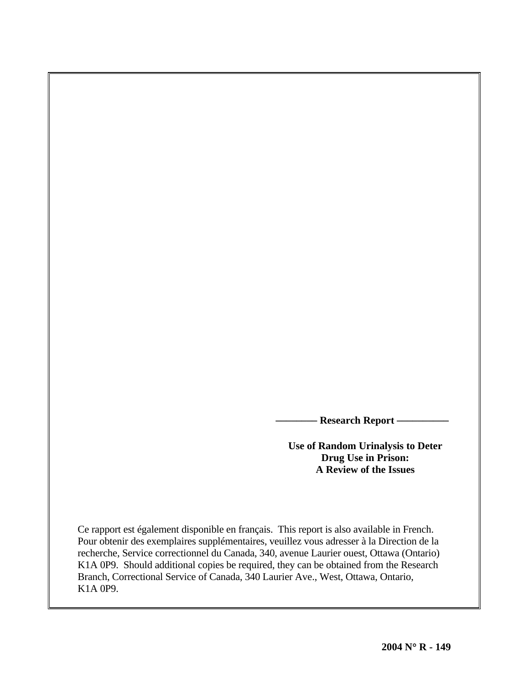**- Research Report —** 

**Use of Random Urinalysis to Deter Drug Use in Prison: A Review of the Issues** 

Ce rapport est également disponible en français. This report is also available in French. Pour obtenir des exemplaires supplémentaires, veuillez vous adresser à la Direction de la recherche, Service correctionnel du Canada, 340, avenue Laurier ouest, Ottawa (Ontario) K1A 0P9. Should additional copies be required, they can be obtained from the Research Branch, Correctional Service of Canada, 340 Laurier Ave., West, Ottawa, Ontario, K1A 0P9.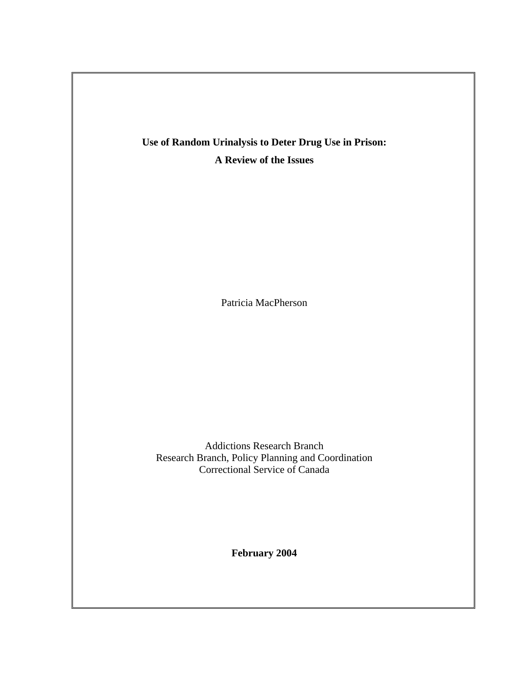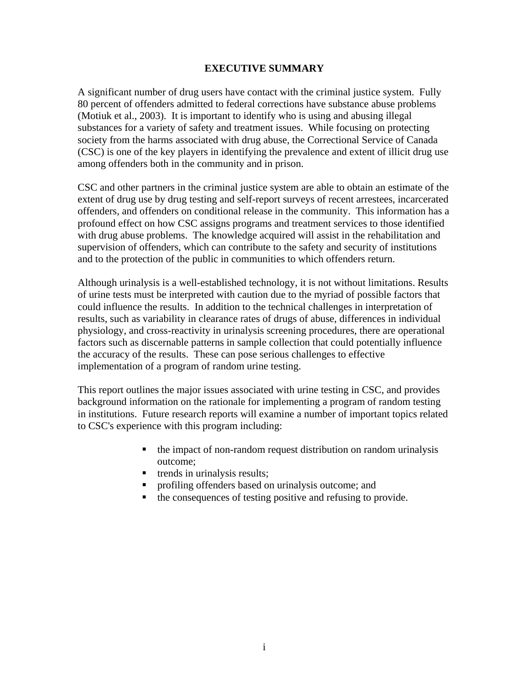# **EXECUTIVE SUMMARY**

A significant number of drug users have contact with the criminal justice system. Fully 80 percent of offenders admitted to federal corrections have substance abuse problems (Motiuk et al., 2003). It is important to identify who is using and abusing illegal substances for a variety of safety and treatment issues. While focusing on protecting society from the harms associated with drug abuse, the Correctional Service of Canada (CSC) is one of the key players in identifying the prevalence and extent of illicit drug use among offenders both in the community and in prison.

CSC and other partners in the criminal justice system are able to obtain an estimate of the extent of drug use by drug testing and self-report surveys of recent arrestees, incarcerated offenders, and offenders on conditional release in the community. This information has a profound effect on how CSC assigns programs and treatment services to those identified with drug abuse problems. The knowledge acquired will assist in the rehabilitation and supervision of offenders, which can contribute to the safety and security of institutions and to the protection of the public in communities to which offenders return.

Although urinalysis is a well-established technology, it is not without limitations. Results of urine tests must be interpreted with caution due to the myriad of possible factors that could influence the results. In addition to the technical challenges in interpretation of results, such as variability in clearance rates of drugs of abuse, differences in individual physiology, and cross-reactivity in urinalysis screening procedures, there are operational factors such as discernable patterns in sample collection that could potentially influence the accuracy of the results. These can pose serious challenges to effective implementation of a program of random urine testing.

This report outlines the major issues associated with urine testing in CSC, and provides background information on the rationale for implementing a program of random testing in institutions. Future research reports will examine a number of important topics related to CSC's experience with this program including:

- $\blacksquare$  the impact of non-random request distribution on random urinalysis outcome;
- $\blacksquare$  trends in urinalysis results;
- profiling offenders based on urinalysis outcome; and
- $\blacksquare$  the consequences of testing positive and refusing to provide.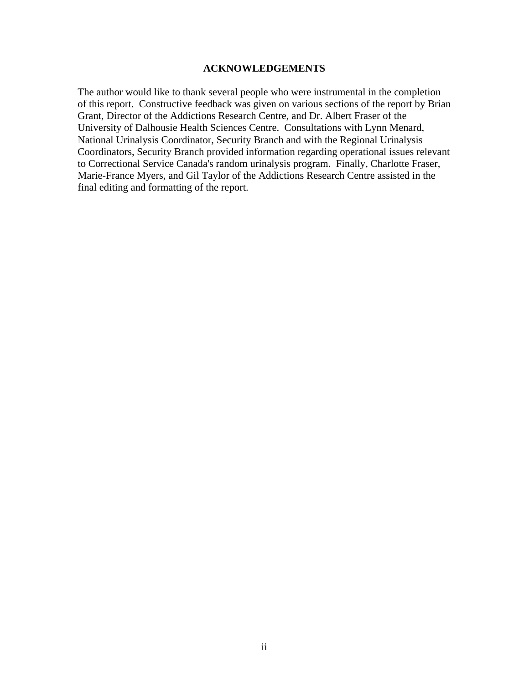# **ACKNOWLEDGEMENTS**

The author would like to thank several people who were instrumental in the completion of this report. Constructive feedback was given on various sections of the report by Brian Grant, Director of the Addictions Research Centre, and Dr. Albert Fraser of the University of Dalhousie Health Sciences Centre. Consultations with Lynn Menard, National Urinalysis Coordinator, Security Branch and with the Regional Urinalysis Coordinators, Security Branch provided information regarding operational issues relevant to Correctional Service Canada's random urinalysis program. Finally, Charlotte Fraser, Marie-France Myers, and Gil Taylor of the Addictions Research Centre assisted in the final editing and formatting of the report.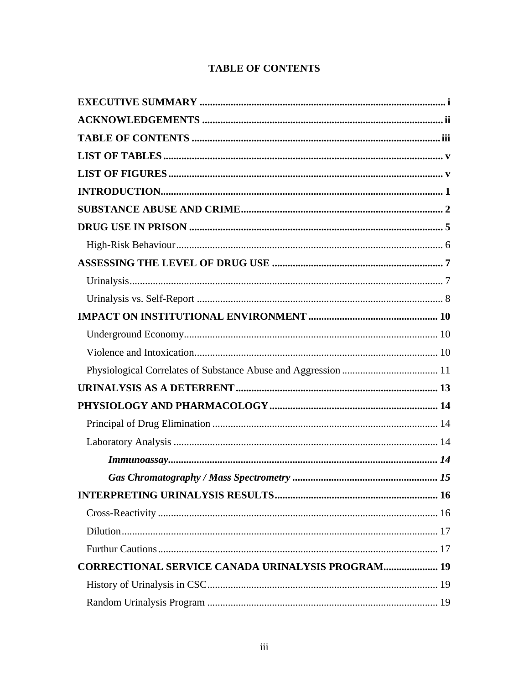# **TABLE OF CONTENTS**

<span id="page-4-0"></span>

| <b>CORRECTIONAL SERVICE CANADA URINALYSIS PROGRAM 19</b> |  |
|----------------------------------------------------------|--|
|                                                          |  |
|                                                          |  |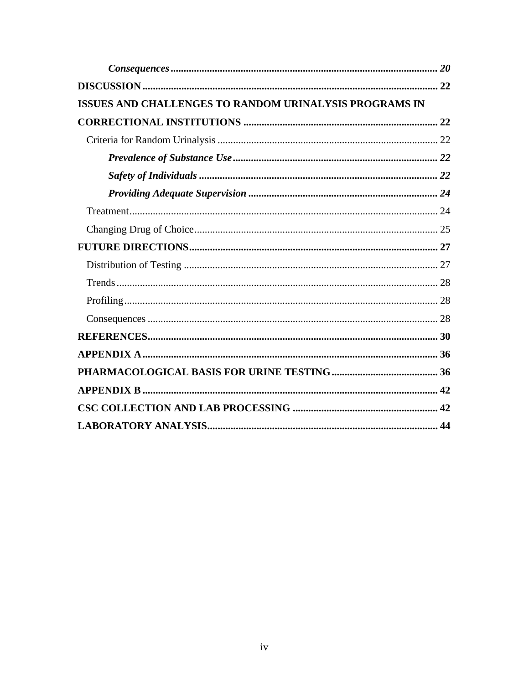| ISSUES AND CHALLENGES TO RANDOM URINALYSIS PROGRAMS IN |  |
|--------------------------------------------------------|--|
|                                                        |  |
|                                                        |  |
|                                                        |  |
|                                                        |  |
|                                                        |  |
|                                                        |  |
|                                                        |  |
|                                                        |  |
|                                                        |  |
|                                                        |  |
|                                                        |  |
|                                                        |  |
|                                                        |  |
|                                                        |  |
|                                                        |  |
|                                                        |  |
|                                                        |  |
|                                                        |  |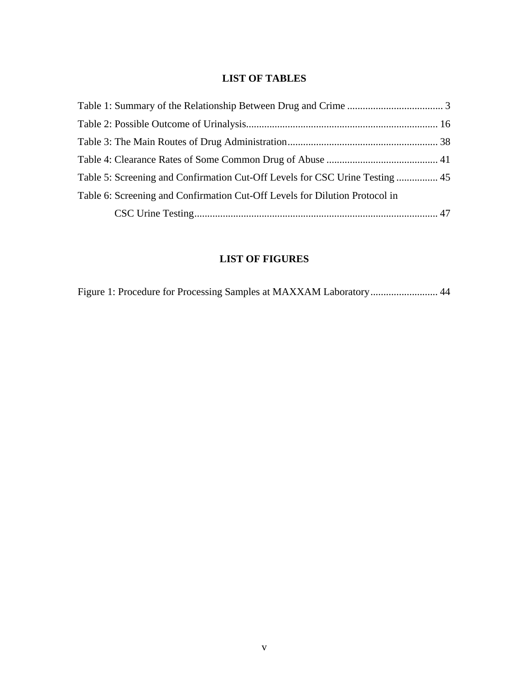# **LIST OF TABLES**

<span id="page-6-0"></span>

| Table 5: Screening and Confirmation Cut-Off Levels for CSC Urine Testing  45 |
|------------------------------------------------------------------------------|
|                                                                              |
|                                                                              |
|                                                                              |

# **LIST OF FIGURES**

|  |  | Figure 1: Procedure for Processing Samples at MAXXAM Laboratory 44 |  |
|--|--|--------------------------------------------------------------------|--|
|  |  |                                                                    |  |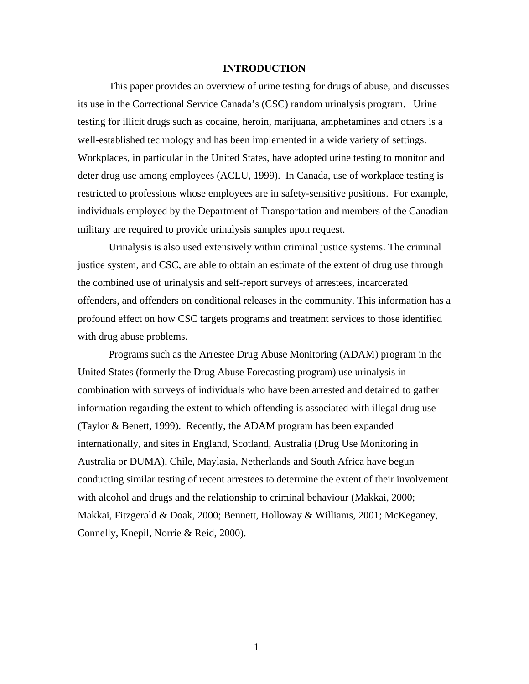# **INTRODUCTION**

<span id="page-7-0"></span>This paper provides an overview of urine testing for drugs of abuse, and discusses its use in the Correctional Service Canada's (CSC) random urinalysis program. Urine testing for illicit drugs such as cocaine, heroin, marijuana, amphetamines and others is a well-established technology and has been implemented in a wide variety of settings. Workplaces, in particular in the United States, have adopted urine testing to monitor and deter drug use among employees (ACLU, 1999). In Canada, use of workplace testing is restricted to professions whose employees are in safety-sensitive positions. For example, individuals employed by the Department of Transportation and members of the Canadian military are required to provide urinalysis samples upon request.

Urinalysis is also used extensively within criminal justice systems. The criminal justice system, and CSC, are able to obtain an estimate of the extent of drug use through the combined use of urinalysis and self-report surveys of arrestees, incarcerated offenders, and offenders on conditional releases in the community. This information has a profound effect on how CSC targets programs and treatment services to those identified with drug abuse problems.

Programs such as the Arrestee Drug Abuse Monitoring (ADAM) program in the United States (formerly the Drug Abuse Forecasting program) use urinalysis in combination with surveys of individuals who have been arrested and detained to gather information regarding the extent to which offending is associated with illegal drug use (Taylor & Benett, 1999). Recently, the ADAM program has been expanded internationally, and sites in England, Scotland, Australia (Drug Use Monitoring in Australia or DUMA), Chile, Maylasia, Netherlands and South Africa have begun conducting similar testing of recent arrestees to determine the extent of their involvement with alcohol and drugs and the relationship to criminal behaviour (Makkai, 2000; Makkai, Fitzgerald & Doak, 2000; Bennett, Holloway & Williams, 2001; McKeganey, Connelly, Knepil, Norrie & Reid, 2000).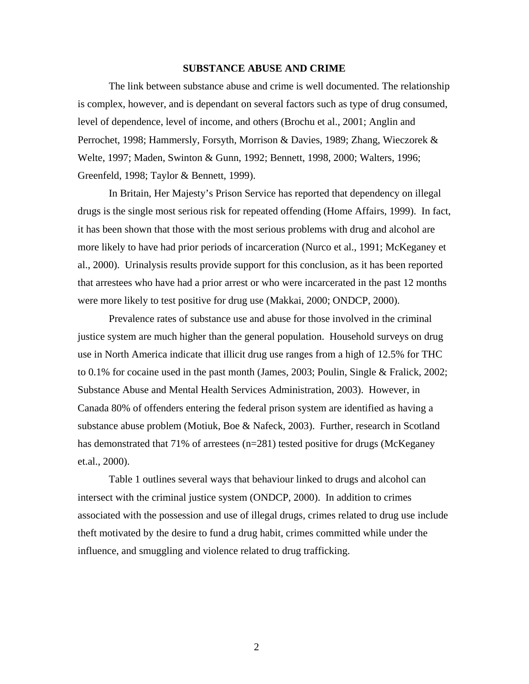## **SUBSTANCE ABUSE AND CRIME**

The link between substance abuse and crime is well documented. The relationship is complex, however, and is dependant on several factors such as type of drug consumed, level of dependence, level of income, and others (Brochu et al., 2001; Anglin and Perrochet, 1998; Hammersly, Forsyth, Morrison & Davies, 1989; Zhang, Wieczorek & Welte, 1997; Maden, Swinton & Gunn, 1992; Bennett, 1998, 2000; Walters, 1996; Greenfeld, 1998; Taylor & Bennett, 1999).

In Britain, Her Majesty's Prison Service has reported that dependency on illegal drugs is the single most serious risk for repeated offending (Home Affairs, 1999). In fact, it has been shown that those with the most serious problems with drug and alcohol are more likely to have had prior periods of incarceration (Nurco et al., 1991; McKeganey et al., 2000). Urinalysis results provide support for this conclusion, as it has been reported that arrestees who have had a prior arrest or who were incarcerated in the past 12 months were more likely to test positive for drug use (Makkai, 2000; ONDCP, 2000).

Prevalence rates of substance use and abuse for those involved in the criminal justice system are much higher than the general population. Household surveys on drug use in North America indicate that illicit drug use ranges from a high of 12.5% for THC to 0.1% for cocaine used in the past month (James, 2003; Poulin, Single & Fralick, 2002; Substance Abuse and Mental Health Services Administration, 2003). However, in Canada 80% of offenders entering the federal prison system are identified as having a substance abuse problem (Motiuk, Boe & Nafeck, 2003). Further, research in Scotland has demonstrated that 71% of arrestees (n=281) tested positive for drugs (McKeganey et.al., 2000).

Table 1 outlines several ways that behaviour linked to drugs and alcohol can intersect with the criminal justice system (ONDCP, 2000). In addition to crimes associated with the possession and use of illegal drugs, crimes related to drug use include theft motivated by the desire to fund a drug habit, crimes committed while under the influence, and smuggling and violence related to drug trafficking.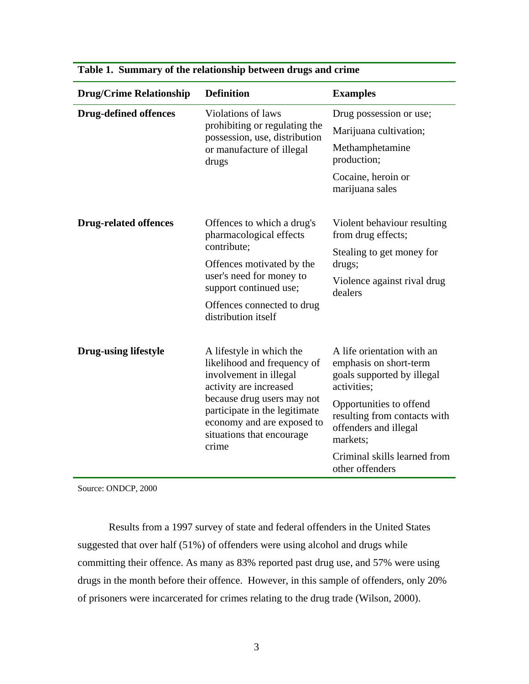| <b>Drug/Crime Relationship</b> | <b>Definition</b>                                                                                                                                                                                                                              | <b>Examples</b>                                                                                                                                                                                                                                      |
|--------------------------------|------------------------------------------------------------------------------------------------------------------------------------------------------------------------------------------------------------------------------------------------|------------------------------------------------------------------------------------------------------------------------------------------------------------------------------------------------------------------------------------------------------|
| <b>Drug-defined offences</b>   | Violations of laws<br>prohibiting or regulating the<br>possession, use, distribution<br>or manufacture of illegal<br>drugs                                                                                                                     | Drug possession or use;<br>Marijuana cultivation;<br>Methamphetamine<br>production;<br>Cocaine, heroin or<br>marijuana sales                                                                                                                         |
| <b>Drug-related offences</b>   | Offences to which a drug's<br>pharmacological effects<br>contribute;<br>Offences motivated by the<br>user's need for money to<br>support continued use;<br>Offences connected to drug<br>distribution itself                                   | Violent behaviour resulting<br>from drug effects;<br>Stealing to get money for<br>drugs;<br>Violence against rival drug<br>dealers                                                                                                                   |
| <b>Drug-using lifestyle</b>    | A lifestyle in which the<br>likelihood and frequency of<br>involvement in illegal<br>activity are increased<br>because drug users may not<br>participate in the legitimate<br>economy and are exposed to<br>situations that encourage<br>crime | A life orientation with an<br>emphasis on short-term<br>goals supported by illegal<br>activities;<br>Opportunities to offend<br>resulting from contacts with<br>offenders and illegal<br>markets:<br>Criminal skills learned from<br>other offenders |

|  | Table 1. Summary of the relationship between drugs and crime |  |  |
|--|--------------------------------------------------------------|--|--|
|  |                                                              |  |  |

Source: ONDCP, 2000

Results from a 1997 survey of state and federal offenders in the United States suggested that over half (51%) of offenders were using alcohol and drugs while committing their offence. As many as 83% reported past drug use, and 57% were using drugs in the month before their offence. However, in this sample of offenders, only 20% of prisoners were incarcerated for crimes relating to the drug trade (Wilson, 2000).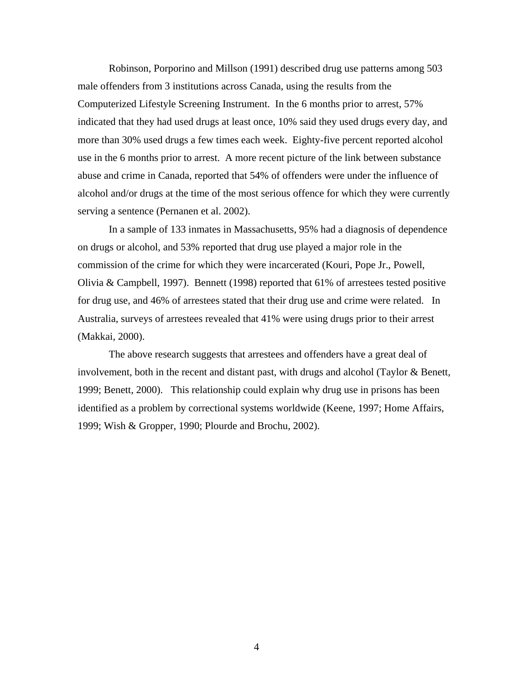Robinson, Porporino and Millson (1991) described drug use patterns among 503 male offenders from 3 institutions across Canada, using the results from the Computerized Lifestyle Screening Instrument. In the 6 months prior to arrest, 57% indicated that they had used drugs at least once, 10% said they used drugs every day, and more than 30% used drugs a few times each week. Eighty-five percent reported alcohol use in the 6 months prior to arrest. A more recent picture of the link between substance abuse and crime in Canada, reported that 54% of offenders were under the influence of alcohol and/or drugs at the time of the most serious offence for which they were currently serving a sentence (Pernanen et al. 2002).

In a sample of 133 inmates in Massachusetts, 95% had a diagnosis of dependence on drugs or alcohol, and 53% reported that drug use played a major role in the commission of the crime for which they were incarcerated (Kouri, Pope Jr., Powell, Olivia & Campbell, 1997). Bennett (1998) reported that 61% of arrestees tested positive for drug use, and 46% of arrestees stated that their drug use and crime were related. In Australia, surveys of arrestees revealed that 41% were using drugs prior to their arrest (Makkai, 2000).

The above research suggests that arrestees and offenders have a great deal of involvement, both in the recent and distant past, with drugs and alcohol (Taylor & Benett, 1999; Benett, 2000). This relationship could explain why drug use in prisons has been identified as a problem by correctional systems worldwide (Keene, 1997; Home Affairs, 1999; Wish & Gropper, 1990; Plourde and Brochu, 2002).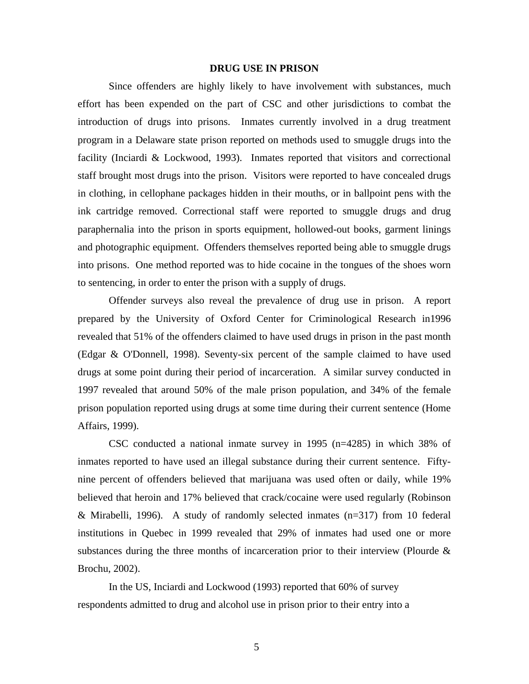# **DRUG USE IN PRISON**

Since offenders are highly likely to have involvement with substances, much effort has been expended on the part of CSC and other jurisdictions to combat the introduction of drugs into prisons. Inmates currently involved in a drug treatment program in a Delaware state prison reported on methods used to smuggle drugs into the facility (Inciardi & Lockwood, 1993). Inmates reported that visitors and correctional staff brought most drugs into the prison. Visitors were reported to have concealed drugs in clothing, in cellophane packages hidden in their mouths, or in ballpoint pens with the ink cartridge removed. Correctional staff were reported to smuggle drugs and drug paraphernalia into the prison in sports equipment, hollowed-out books, garment linings and photographic equipment. Offenders themselves reported being able to smuggle drugs into prisons. One method reported was to hide cocaine in the tongues of the shoes worn to sentencing, in order to enter the prison with a supply of drugs.

Offender surveys also reveal the prevalence of drug use in prison. A report prepared by the University of Oxford Center for Criminological Research in1996 revealed that 51% of the offenders claimed to have used drugs in prison in the past month (Edgar & O'Donnell, 1998). Seventy-six percent of the sample claimed to have used drugs at some point during their period of incarceration. A similar survey conducted in 1997 revealed that around 50% of the male prison population, and 34% of the female prison population reported using drugs at some time during their current sentence (Home Affairs, 1999).

CSC conducted a national inmate survey in 1995 (n=4285) in which 38% of inmates reported to have used an illegal substance during their current sentence. Fiftynine percent of offenders believed that marijuana was used often or daily, while 19% believed that heroin and 17% believed that crack/cocaine were used regularly (Robinson & Mirabelli, 1996). A study of randomly selected inmates  $(n=317)$  from 10 federal institutions in Quebec in 1999 revealed that 29% of inmates had used one or more substances during the three months of incarceration prior to their interview (Plourde & Brochu, 2002).

In the US, Inciardi and Lockwood (1993) reported that 60% of survey respondents admitted to drug and alcohol use in prison prior to their entry into a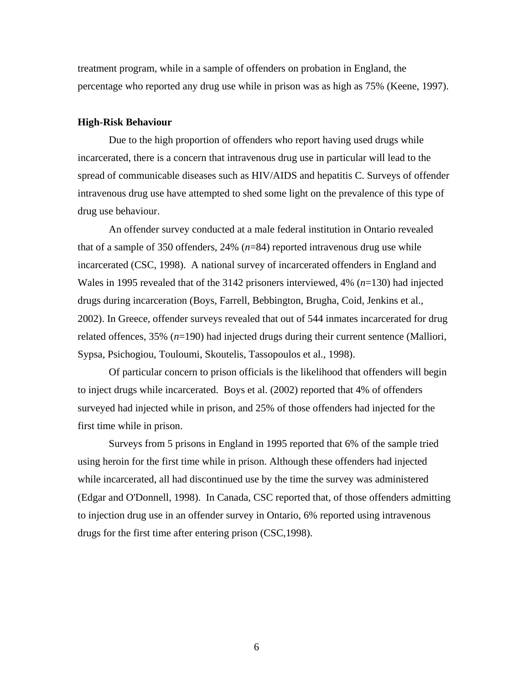treatment program, while in a sample of offenders on probation in England, the percentage who reported any drug use while in prison was as high as 75% (Keene, 1997).

#### **High-Risk Behaviour**

Due to the high proportion of offenders who report having used drugs while incarcerated, there is a concern that intravenous drug use in particular will lead to the spread of communicable diseases such as HIV/AIDS and hepatitis C. Surveys of offender intravenous drug use have attempted to shed some light on the prevalence of this type of drug use behaviour.

An offender survey conducted at a male federal institution in Ontario revealed that of a sample of 350 offenders,  $24\%$  ( $n=84$ ) reported intravenous drug use while incarcerated (CSC, 1998). A national survey of incarcerated offenders in England and Wales in 1995 revealed that of the 3142 prisoners interviewed, 4% (*n*=130) had injected drugs during incarceration (Boys, Farrell, Bebbington, Brugha, Coid, Jenkins et al., 2002). In Greece, offender surveys revealed that out of 544 inmates incarcerated for drug related offences, 35% (*n*=190) had injected drugs during their current sentence (Malliori, Sypsa, Psichogiou, Touloumi, Skoutelis, Tassopoulos et al., 1998).

Of particular concern to prison officials is the likelihood that offenders will begin to inject drugs while incarcerated. Boys et al. (2002) reported that 4% of offenders surveyed had injected while in prison, and 25% of those offenders had injected for the first time while in prison.

Surveys from 5 prisons in England in 1995 reported that 6% of the sample tried using heroin for the first time while in prison. Although these offenders had injected while incarcerated, all had discontinued use by the time the survey was administered (Edgar and O'Donnell, 1998). In Canada, CSC reported that, of those offenders admitting to injection drug use in an offender survey in Ontario, 6% reported using intravenous drugs for the first time after entering prison (CSC,1998).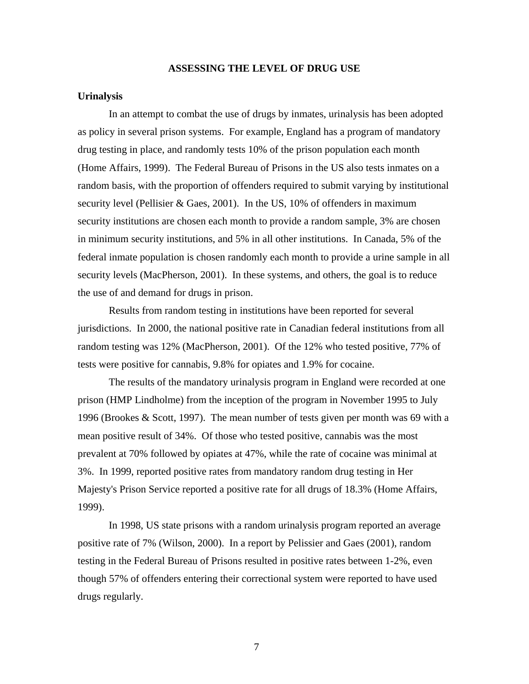# **ASSESSING THE LEVEL OF DRUG USE**

## **Urinalysis**

In an attempt to combat the use of drugs by inmates, urinalysis has been adopted as policy in several prison systems. For example, England has a program of mandatory drug testing in place, and randomly tests 10% of the prison population each month (Home Affairs, 1999). The Federal Bureau of Prisons in the US also tests inmates on a random basis, with the proportion of offenders required to submit varying by institutional security level (Pellisier & Gaes, 2001). In the US, 10% of offenders in maximum security institutions are chosen each month to provide a random sample, 3% are chosen in minimum security institutions, and 5% in all other institutions. In Canada, 5% of the federal inmate population is chosen randomly each month to provide a urine sample in all security levels (MacPherson, 2001). In these systems, and others, the goal is to reduce the use of and demand for drugs in prison.

Results from random testing in institutions have been reported for several jurisdictions. In 2000, the national positive rate in Canadian federal institutions from all random testing was 12% (MacPherson, 2001). Of the 12% who tested positive, 77% of tests were positive for cannabis, 9.8% for opiates and 1.9% for cocaine.

The results of the mandatory urinalysis program in England were recorded at one prison (HMP Lindholme) from the inception of the program in November 1995 to July 1996 (Brookes & Scott, 1997). The mean number of tests given per month was 69 with a mean positive result of 34%. Of those who tested positive, cannabis was the most prevalent at 70% followed by opiates at 47%, while the rate of cocaine was minimal at 3%. In 1999, reported positive rates from mandatory random drug testing in Her Majesty's Prison Service reported a positive rate for all drugs of 18.3% (Home Affairs, 1999).

In 1998, US state prisons with a random urinalysis program reported an average positive rate of 7% (Wilson, 2000). In a report by Pelissier and Gaes (2001), random testing in the Federal Bureau of Prisons resulted in positive rates between 1-2%, even though 57% of offenders entering their correctional system were reported to have used drugs regularly.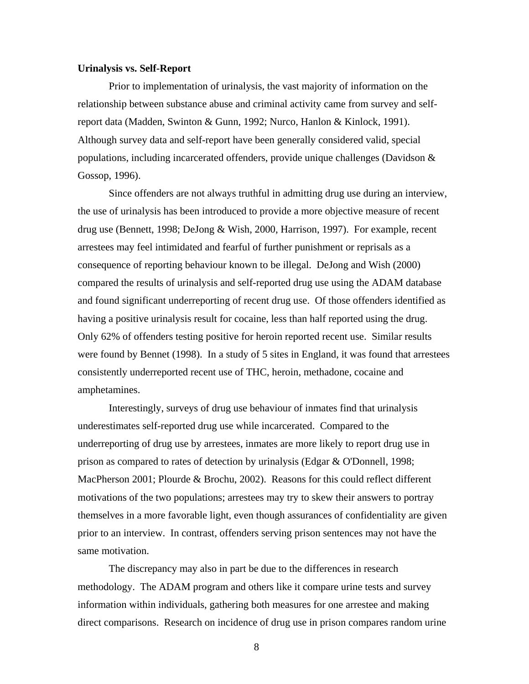#### **Urinalysis vs. Self-Report**

Prior to implementation of urinalysis, the vast majority of information on the relationship between substance abuse and criminal activity came from survey and selfreport data (Madden, Swinton & Gunn, 1992; Nurco, Hanlon & Kinlock, 1991). Although survey data and self-report have been generally considered valid, special populations, including incarcerated offenders, provide unique challenges (Davidson & Gossop, 1996).

Since offenders are not always truthful in admitting drug use during an interview, the use of urinalysis has been introduced to provide a more objective measure of recent drug use (Bennett, 1998; DeJong & Wish, 2000, Harrison, 1997). For example, recent arrestees may feel intimidated and fearful of further punishment or reprisals as a consequence of reporting behaviour known to be illegal. DeJong and Wish (2000) compared the results of urinalysis and self-reported drug use using the ADAM database and found significant underreporting of recent drug use. Of those offenders identified as having a positive urinalysis result for cocaine, less than half reported using the drug. Only 62% of offenders testing positive for heroin reported recent use. Similar results were found by Bennet (1998). In a study of 5 sites in England, it was found that arrestees consistently underreported recent use of THC, heroin, methadone, cocaine and amphetamines.

Interestingly, surveys of drug use behaviour of inmates find that urinalysis underestimates self-reported drug use while incarcerated. Compared to the underreporting of drug use by arrestees, inmates are more likely to report drug use in prison as compared to rates of detection by urinalysis (Edgar & O'Donnell, 1998; MacPherson 2001; Plourde & Brochu, 2002). Reasons for this could reflect different motivations of the two populations; arrestees may try to skew their answers to portray themselves in a more favorable light, even though assurances of confidentiality are given prior to an interview. In contrast, offenders serving prison sentences may not have the same motivation.

The discrepancy may also in part be due to the differences in research methodology. The ADAM program and others like it compare urine tests and survey information within individuals, gathering both measures for one arrestee and making direct comparisons. Research on incidence of drug use in prison compares random urine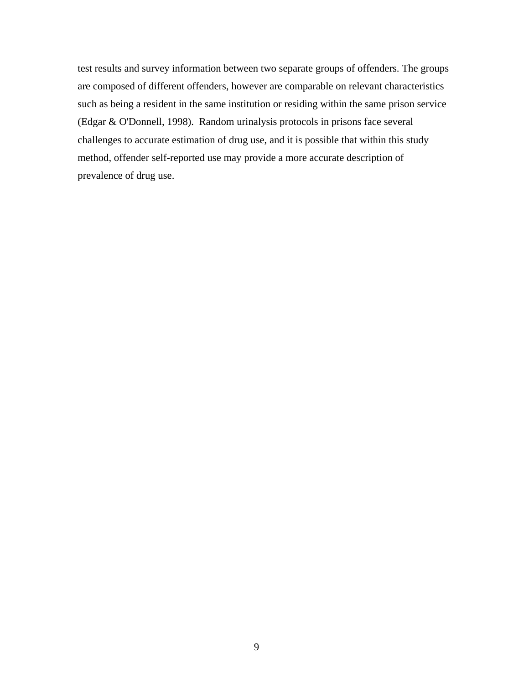test results and survey information between two separate groups of offenders. The groups are composed of different offenders, however are comparable on relevant characteristics such as being a resident in the same institution or residing within the same prison service (Edgar & O'Donnell, 1998). Random urinalysis protocols in prisons face several challenges to accurate estimation of drug use, and it is possible that within this study method, offender self-reported use may provide a more accurate description of prevalence of drug use.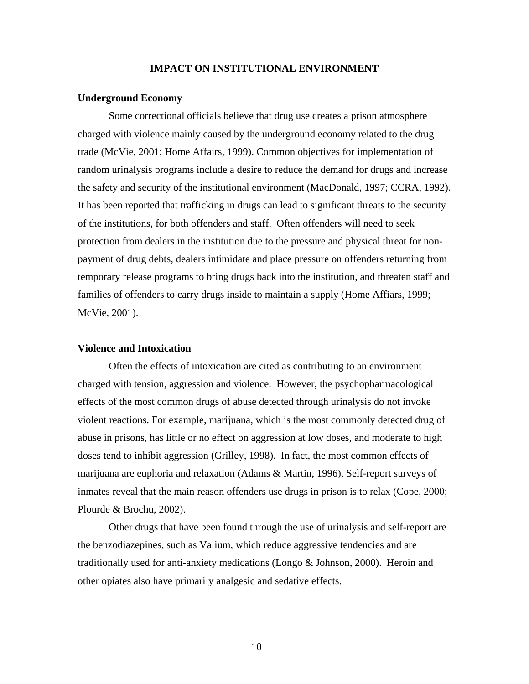# **IMPACT ON INSTITUTIONAL ENVIRONMENT**

#### **Underground Economy**

Some correctional officials believe that drug use creates a prison atmosphere charged with violence mainly caused by the underground economy related to the drug trade (McVie, 2001; Home Affairs, 1999). Common objectives for implementation of random urinalysis programs include a desire to reduce the demand for drugs and increase the safety and security of the institutional environment (MacDonald, 1997; CCRA, 1992). It has been reported that trafficking in drugs can lead to significant threats to the security of the institutions, for both offenders and staff. Often offenders will need to seek protection from dealers in the institution due to the pressure and physical threat for nonpayment of drug debts, dealers intimidate and place pressure on offenders returning from temporary release programs to bring drugs back into the institution, and threaten staff and families of offenders to carry drugs inside to maintain a supply (Home Affiars, 1999; McVie, 2001).

# **Violence and Intoxication**

Often the effects of intoxication are cited as contributing to an environment charged with tension, aggression and violence. However, the psychopharmacological effects of the most common drugs of abuse detected through urinalysis do not invoke violent reactions. For example, marijuana, which is the most commonly detected drug of abuse in prisons, has little or no effect on aggression at low doses, and moderate to high doses tend to inhibit aggression (Grilley, 1998). In fact, the most common effects of marijuana are euphoria and relaxation (Adams & Martin, 1996). Self-report surveys of inmates reveal that the main reason offenders use drugs in prison is to relax (Cope, 2000; Plourde & Brochu, 2002).

Other drugs that have been found through the use of urinalysis and self-report are the benzodiazepines, such as Valium, which reduce aggressive tendencies and are traditionally used for anti-anxiety medications (Longo & Johnson, 2000). Heroin and other opiates also have primarily analgesic and sedative effects.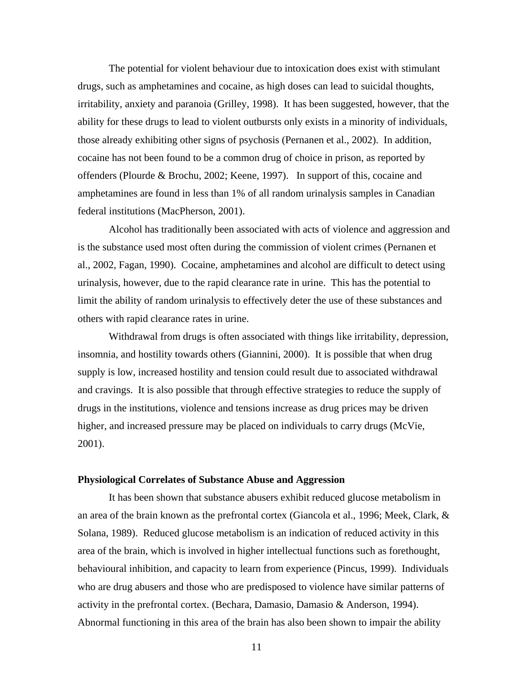The potential for violent behaviour due to intoxication does exist with stimulant drugs, such as amphetamines and cocaine, as high doses can lead to suicidal thoughts, irritability, anxiety and paranoia (Grilley, 1998). It has been suggested, however, that the ability for these drugs to lead to violent outbursts only exists in a minority of individuals, those already exhibiting other signs of psychosis (Pernanen et al., 2002). In addition, cocaine has not been found to be a common drug of choice in prison, as reported by offenders (Plourde & Brochu, 2002; Keene, 1997). In support of this, cocaine and amphetamines are found in less than 1% of all random urinalysis samples in Canadian federal institutions (MacPherson, 2001).

Alcohol has traditionally been associated with acts of violence and aggression and is the substance used most often during the commission of violent crimes (Pernanen et al., 2002, Fagan, 1990). Cocaine, amphetamines and alcohol are difficult to detect using urinalysis, however, due to the rapid clearance rate in urine. This has the potential to limit the ability of random urinalysis to effectively deter the use of these substances and others with rapid clearance rates in urine.

Withdrawal from drugs is often associated with things like irritability, depression, insomnia, and hostility towards others (Giannini, 2000). It is possible that when drug supply is low, increased hostility and tension could result due to associated withdrawal and cravings. It is also possible that through effective strategies to reduce the supply of drugs in the institutions, violence and tensions increase as drug prices may be driven higher, and increased pressure may be placed on individuals to carry drugs (McVie, 2001).

# **Physiological Correlates of Substance Abuse and Aggression**

It has been shown that substance abusers exhibit reduced glucose metabolism in an area of the brain known as the prefrontal cortex (Giancola et al., 1996; Meek, Clark, & Solana, 1989). Reduced glucose metabolism is an indication of reduced activity in this area of the brain, which is involved in higher intellectual functions such as forethought, behavioural inhibition, and capacity to learn from experience (Pincus, 1999). Individuals who are drug abusers and those who are predisposed to violence have similar patterns of activity in the prefrontal cortex. (Bechara, Damasio, Damasio & Anderson, 1994). Abnormal functioning in this area of the brain has also been shown to impair the ability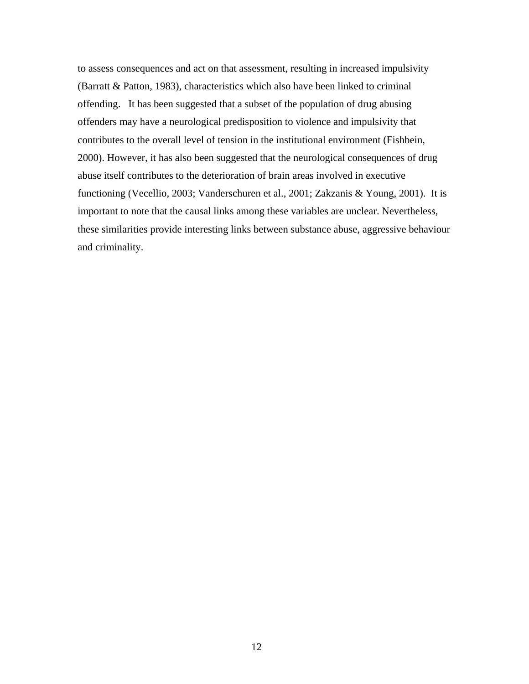to assess consequences and act on that assessment, resulting in increased impulsivity (Barratt & Patton, 1983), characteristics which also have been linked to criminal offending. It has been suggested that a subset of the population of drug abusing offenders may have a neurological predisposition to violence and impulsivity that contributes to the overall level of tension in the institutional environment (Fishbein, 2000). However, it has also been suggested that the neurological consequences of drug abuse itself contributes to the deterioration of brain areas involved in executive functioning (Vecellio, 2003; Vanderschuren et al., 2001; Zakzanis & Young, 2001). It is important to note that the causal links among these variables are unclear. Nevertheless, these similarities provide interesting links between substance abuse, aggressive behaviour and criminality.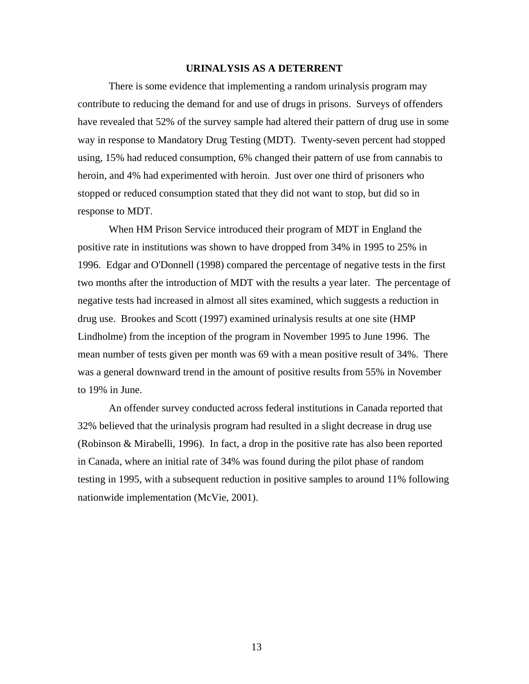# **URINALYSIS AS A DETERRENT**

There is some evidence that implementing a random urinalysis program may contribute to reducing the demand for and use of drugs in prisons. Surveys of offenders have revealed that 52% of the survey sample had altered their pattern of drug use in some way in response to Mandatory Drug Testing (MDT). Twenty-seven percent had stopped using, 15% had reduced consumption, 6% changed their pattern of use from cannabis to heroin, and 4% had experimented with heroin. Just over one third of prisoners who stopped or reduced consumption stated that they did not want to stop, but did so in response to MDT.

When HM Prison Service introduced their program of MDT in England the positive rate in institutions was shown to have dropped from 34% in 1995 to 25% in 1996. Edgar and O'Donnell (1998) compared the percentage of negative tests in the first two months after the introduction of MDT with the results a year later. The percentage of negative tests had increased in almost all sites examined, which suggests a reduction in drug use. Brookes and Scott (1997) examined urinalysis results at one site (HMP Lindholme) from the inception of the program in November 1995 to June 1996. The mean number of tests given per month was 69 with a mean positive result of 34%. There was a general downward trend in the amount of positive results from 55% in November to 19% in June.

An offender survey conducted across federal institutions in Canada reported that 32% believed that the urinalysis program had resulted in a slight decrease in drug use (Robinson & Mirabelli, 1996). In fact, a drop in the positive rate has also been reported in Canada, where an initial rate of 34% was found during the pilot phase of random testing in 1995, with a subsequent reduction in positive samples to around 11% following nationwide implementation (McVie, 2001).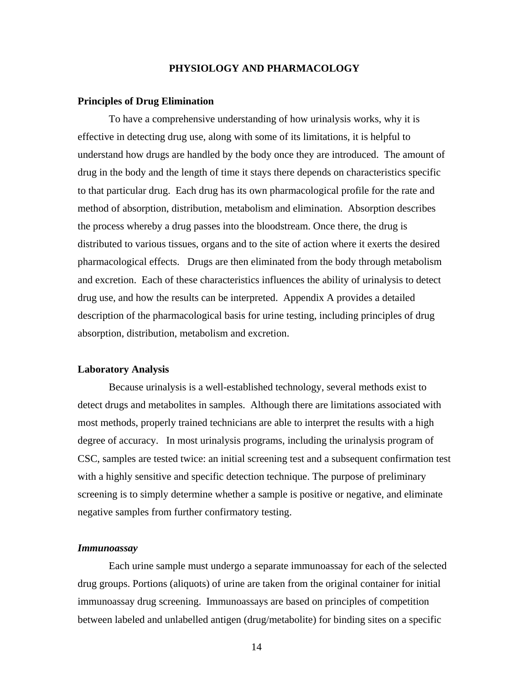# **PHYSIOLOGY AND PHARMACOLOGY**

#### **Principles of Drug Elimination**

To have a comprehensive understanding of how urinalysis works, why it is effective in detecting drug use, along with some of its limitations, it is helpful to understand how drugs are handled by the body once they are introduced. The amount of drug in the body and the length of time it stays there depends on characteristics specific to that particular drug. Each drug has its own pharmacological profile for the rate and method of absorption, distribution, metabolism and elimination. Absorption describes the process whereby a drug passes into the bloodstream. Once there, the drug is distributed to various tissues, organs and to the site of action where it exerts the desired pharmacological effects. Drugs are then eliminated from the body through metabolism and excretion. Each of these characteristics influences the ability of urinalysis to detect drug use, and how the results can be interpreted. Appendix A provides a detailed description of the pharmacological basis for urine testing, including principles of drug absorption, distribution, metabolism and excretion.

#### **Laboratory Analysis**

Because urinalysis is a well-established technology, several methods exist to detect drugs and metabolites in samples. Although there are limitations associated with most methods, properly trained technicians are able to interpret the results with a high degree of accuracy. In most urinalysis programs, including the urinalysis program of CSC, samples are tested twice: an initial screening test and a subsequent confirmation test with a highly sensitive and specific detection technique. The purpose of preliminary screening is to simply determine whether a sample is positive or negative, and eliminate negative samples from further confirmatory testing.

# *Immunoassay*

Each urine sample must undergo a separate immunoassay for each of the selected drug groups. Portions (aliquots) of urine are taken from the original container for initial immunoassay drug screening. Immunoassays are based on principles of competition between labeled and unlabelled antigen (drug/metabolite) for binding sites on a specific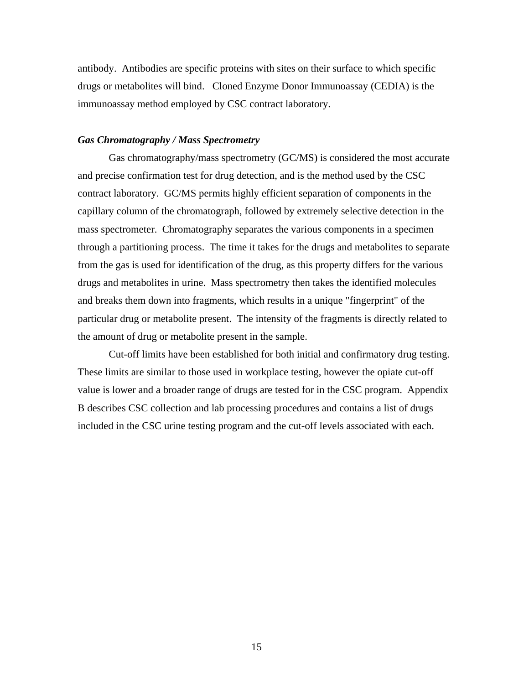antibody. Antibodies are specific proteins with sites on their surface to which specific drugs or metabolites will bind. Cloned Enzyme Donor Immunoassay (CEDIA) is the immunoassay method employed by CSC contract laboratory.

# *Gas Chromatography / Mass Spectrometry*

Gas chromatography/mass spectrometry (GC/MS) is considered the most accurate and precise confirmation test for drug detection, and is the method used by the CSC contract laboratory. GC/MS permits highly efficient separation of components in the capillary column of the chromatograph, followed by extremely selective detection in the mass spectrometer. Chromatography separates the various components in a specimen through a partitioning process. The time it takes for the drugs and metabolites to separate from the gas is used for identification of the drug, as this property differs for the various drugs and metabolites in urine. Mass spectrometry then takes the identified molecules and breaks them down into fragments, which results in a unique "fingerprint" of the particular drug or metabolite present. The intensity of the fragments is directly related to the amount of drug or metabolite present in the sample.

Cut-off limits have been established for both initial and confirmatory drug testing. These limits are similar to those used in workplace testing, however the opiate cut-off value is lower and a broader range of drugs are tested for in the CSC program. Appendix B describes CSC collection and lab processing procedures and contains a list of drugs included in the CSC urine testing program and the cut-off levels associated with each.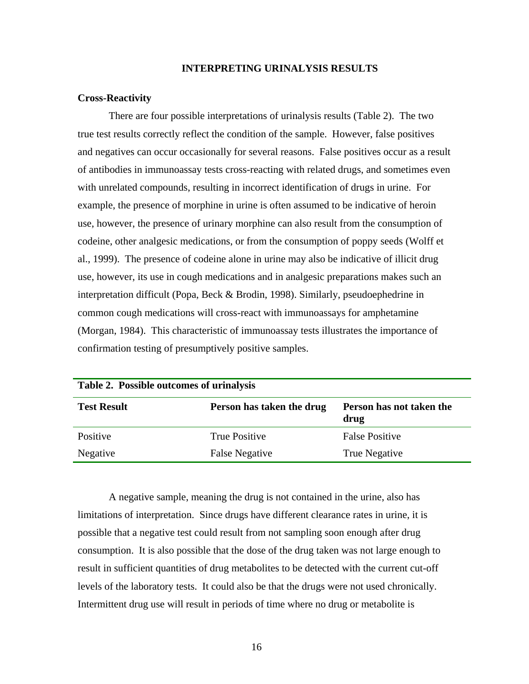# **INTERPRETING URINALYSIS RESULTS**

#### **Cross-Reactivity**

There are four possible interpretations of urinalysis results (Table 2). The two true test results correctly reflect the condition of the sample. However, false positives and negatives can occur occasionally for several reasons. False positives occur as a result of antibodies in immunoassay tests cross-reacting with related drugs, and sometimes even with unrelated compounds, resulting in incorrect identification of drugs in urine. For example, the presence of morphine in urine is often assumed to be indicative of heroin use, however, the presence of urinary morphine can also result from the consumption of codeine, other analgesic medications, or from the consumption of poppy seeds (Wolff et al., 1999). The presence of codeine alone in urine may also be indicative of illicit drug use, however, its use in cough medications and in analgesic preparations makes such an interpretation difficult (Popa, Beck & Brodin, 1998). Similarly, pseudoephedrine in common cough medications will cross-react with immunoassays for amphetamine (Morgan, 1984). This characteristic of immunoassay tests illustrates the importance of confirmation testing of presumptively positive samples.

| Table 2. Possible outcomes of urinalysis |                           |                                  |  |  |
|------------------------------------------|---------------------------|----------------------------------|--|--|
| <b>Test Result</b>                       | Person has taken the drug | Person has not taken the<br>drug |  |  |
| Positive                                 | <b>True Positive</b>      | <b>False Positive</b>            |  |  |
| Negative                                 | <b>False Negative</b>     | True Negative                    |  |  |

A negative sample, meaning the drug is not contained in the urine, also has limitations of interpretation. Since drugs have different clearance rates in urine, it is possible that a negative test could result from not sampling soon enough after drug consumption. It is also possible that the dose of the drug taken was not large enough to result in sufficient quantities of drug metabolites to be detected with the current cut-off levels of the laboratory tests. It could also be that the drugs were not used chronically. Intermittent drug use will result in periods of time where no drug or metabolite is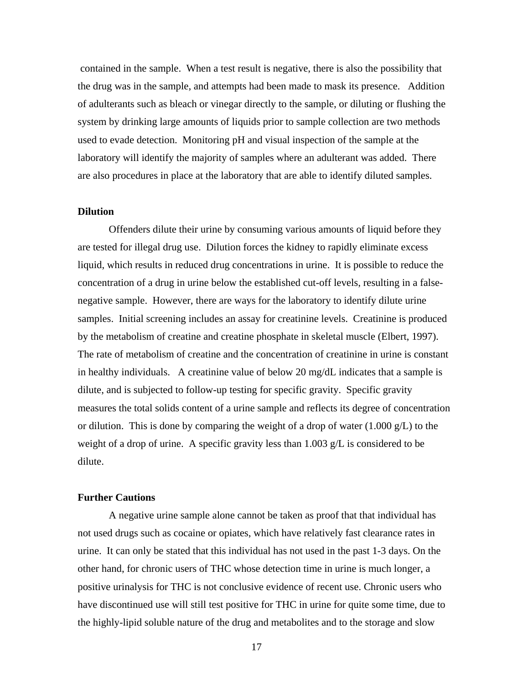contained in the sample. When a test result is negative, there is also the possibility that the drug was in the sample, and attempts had been made to mask its presence. Addition of adulterants such as bleach or vinegar directly to the sample, or diluting or flushing the system by drinking large amounts of liquids prior to sample collection are two methods used to evade detection. Monitoring pH and visual inspection of the sample at the laboratory will identify the majority of samples where an adulterant was added. There are also procedures in place at the laboratory that are able to identify diluted samples.

# **Dilution**

Offenders dilute their urine by consuming various amounts of liquid before they are tested for illegal drug use. Dilution forces the kidney to rapidly eliminate excess liquid, which results in reduced drug concentrations in urine. It is possible to reduce the concentration of a drug in urine below the established cut-off levels, resulting in a falsenegative sample. However, there are ways for the laboratory to identify dilute urine samples. Initial screening includes an assay for creatinine levels. Creatinine is produced by the metabolism of creatine and creatine phosphate in skeletal muscle (Elbert, 1997). The rate of metabolism of creatine and the concentration of creatinine in urine is constant in healthy individuals. A creatinine value of below 20 mg/dL indicates that a sample is dilute, and is subjected to follow-up testing for specific gravity. Specific gravity measures the total solids content of a urine sample and reflects its degree of concentration or dilution. This is done by comparing the weight of a drop of water  $(1.000 \text{ g/L})$  to the weight of a drop of urine. A specific gravity less than 1.003 g/L is considered to be dilute.

# **Further Cautions**

A negative urine sample alone cannot be taken as proof that that individual has not used drugs such as cocaine or opiates, which have relatively fast clearance rates in urine. It can only be stated that this individual has not used in the past 1-3 days. On the other hand, for chronic users of THC whose detection time in urine is much longer, a positive urinalysis for THC is not conclusive evidence of recent use. Chronic users who have discontinued use will still test positive for THC in urine for quite some time, due to the highly-lipid soluble nature of the drug and metabolites and to the storage and slow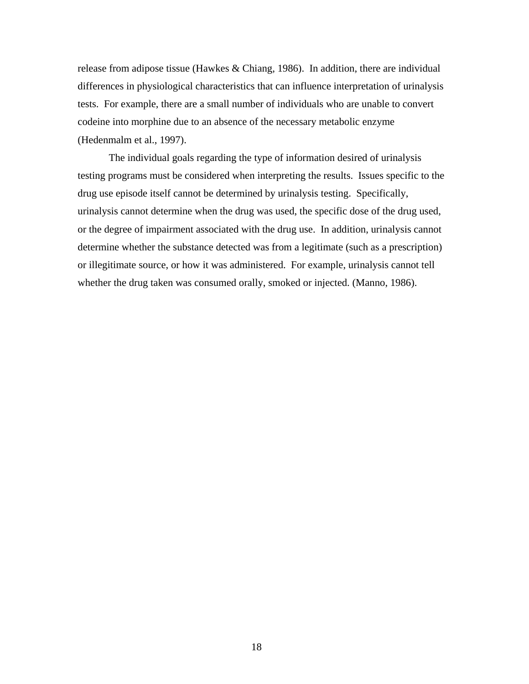release from adipose tissue (Hawkes & Chiang, 1986). In addition, there are individual differences in physiological characteristics that can influence interpretation of urinalysis tests. For example, there are a small number of individuals who are unable to convert codeine into morphine due to an absence of the necessary metabolic enzyme (Hedenmalm et al., 1997).

The individual goals regarding the type of information desired of urinalysis testing programs must be considered when interpreting the results. Issues specific to the drug use episode itself cannot be determined by urinalysis testing. Specifically, urinalysis cannot determine when the drug was used, the specific dose of the drug used, or the degree of impairment associated with the drug use. In addition, urinalysis cannot determine whether the substance detected was from a legitimate (such as a prescription) or illegitimate source, or how it was administered. For example, urinalysis cannot tell whether the drug taken was consumed orally, smoked or injected. (Manno, 1986).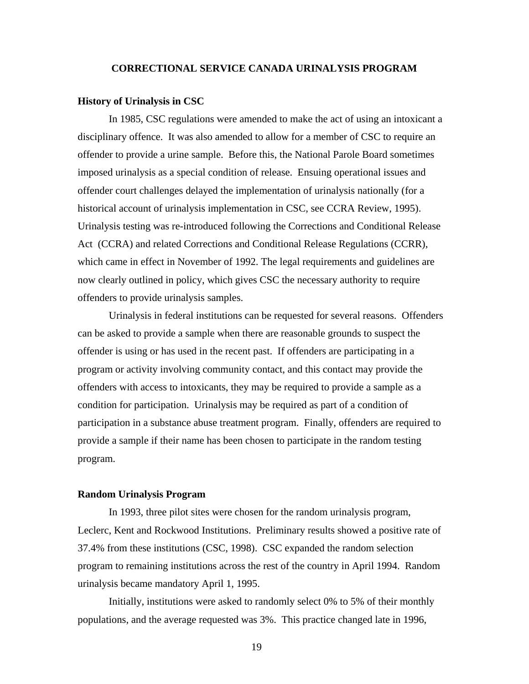# **CORRECTIONAL SERVICE CANADA URINALYSIS PROGRAM**

#### **History of Urinalysis in CSC**

In 1985, CSC regulations were amended to make the act of using an intoxicant a disciplinary offence. It was also amended to allow for a member of CSC to require an offender to provide a urine sample. Before this, the National Parole Board sometimes imposed urinalysis as a special condition of release. Ensuing operational issues and offender court challenges delayed the implementation of urinalysis nationally (for a historical account of urinalysis implementation in CSC, see CCRA Review, 1995). Urinalysis testing was re-introduced following the Corrections and Conditional Release Act (CCRA) and related Corrections and Conditional Release Regulations (CCRR), which came in effect in November of 1992. The legal requirements and guidelines are now clearly outlined in policy, which gives CSC the necessary authority to require offenders to provide urinalysis samples.

Urinalysis in federal institutions can be requested for several reasons. Offenders can be asked to provide a sample when there are reasonable grounds to suspect the offender is using or has used in the recent past. If offenders are participating in a program or activity involving community contact, and this contact may provide the offenders with access to intoxicants, they may be required to provide a sample as a condition for participation. Urinalysis may be required as part of a condition of participation in a substance abuse treatment program. Finally, offenders are required to provide a sample if their name has been chosen to participate in the random testing program.

# **Random Urinalysis Program**

In 1993, three pilot sites were chosen for the random urinalysis program, Leclerc, Kent and Rockwood Institutions. Preliminary results showed a positive rate of 37.4% from these institutions (CSC, 1998). CSC expanded the random selection program to remaining institutions across the rest of the country in April 1994. Random urinalysis became mandatory April 1, 1995.

Initially, institutions were asked to randomly select 0% to 5% of their monthly populations, and the average requested was 3%. This practice changed late in 1996,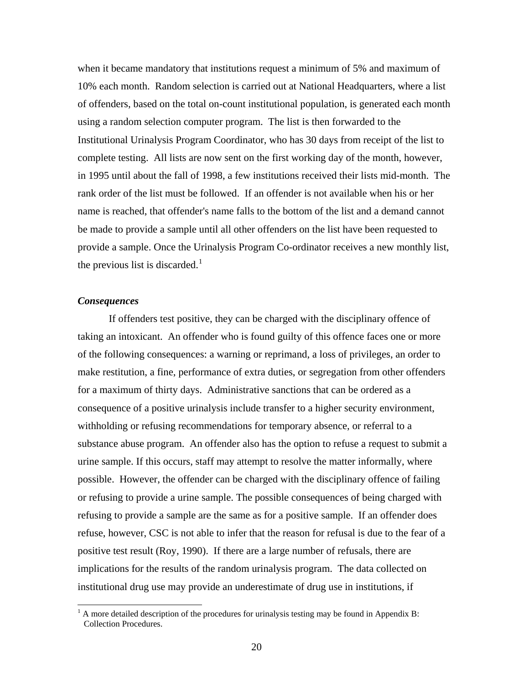when it became mandatory that institutions request a minimum of 5% and maximum of 10% each month. Random selection is carried out at National Headquarters, where a list of offenders, based on the total on-count institutional population, is generated each month using a random selection computer program. The list is then forwarded to the Institutional Urinalysis Program Coordinator, who has 30 days from receipt of the list to complete testing. All lists are now sent on the first working day of the month, however, in 1995 until about the fall of 1998, a few institutions received their lists mid-month. The rank order of the list must be followed. If an offender is not available when his or her name is reached, that offender's name falls to the bottom of the list and a demand cannot be made to provide a sample until all other offenders on the list have been requested to provide a sample. Once the Urinalysis Program Co-ordinator receives a new monthly list, the previous list is discarded.<sup>[1](#page-26-0)</sup>

# *Consequences*

If offenders test positive, they can be charged with the disciplinary offence of taking an intoxicant. An offender who is found guilty of this offence faces one or more of the following consequences: a warning or reprimand, a loss of privileges, an order to make restitution, a fine, performance of extra duties, or segregation from other offenders for a maximum of thirty days. Administrative sanctions that can be ordered as a consequence of a positive urinalysis include transfer to a higher security environment, withholding or refusing recommendations for temporary absence, or referral to a substance abuse program. An offender also has the option to refuse a request to submit a urine sample. If this occurs, staff may attempt to resolve the matter informally, where possible. However, the offender can be charged with the disciplinary offence of failing or refusing to provide a urine sample. The possible consequences of being charged with refusing to provide a sample are the same as for a positive sample. If an offender does refuse, however, CSC is not able to infer that the reason for refusal is due to the fear of a positive test result (Roy, 1990). If there are a large number of refusals, there are implications for the results of the random urinalysis program. The data collected on institutional drug use may provide an underestimate of drug use in institutions, if

<span id="page-26-0"></span><sup>&</sup>lt;sup>1</sup> A more detailed description of the procedures for urinalysis testing may be found in Appendix B: Collection Procedures.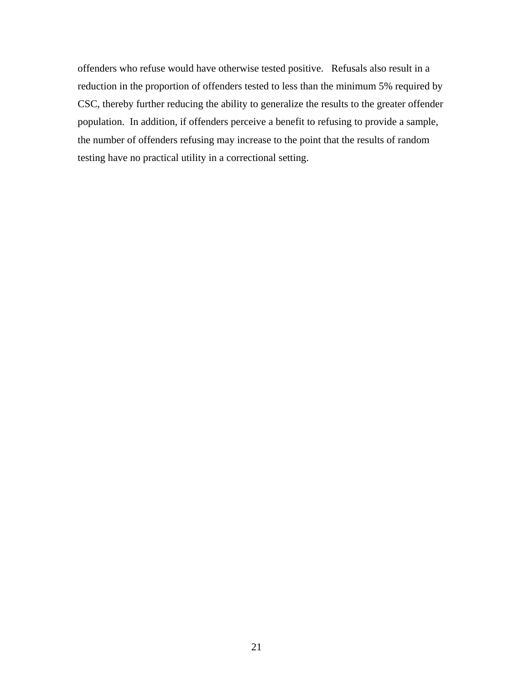offenders who refuse would have otherwise tested positive. Refusals also result in a reduction in the proportion of offenders tested to less than the minimum 5% required by CSC, thereby further reducing the ability to generalize the results to the greater offender population. In addition, if offenders perceive a benefit to refusing to provide a sample, the number of offenders refusing may increase to the point that the results of random testing have no practical utility in a correctional setting.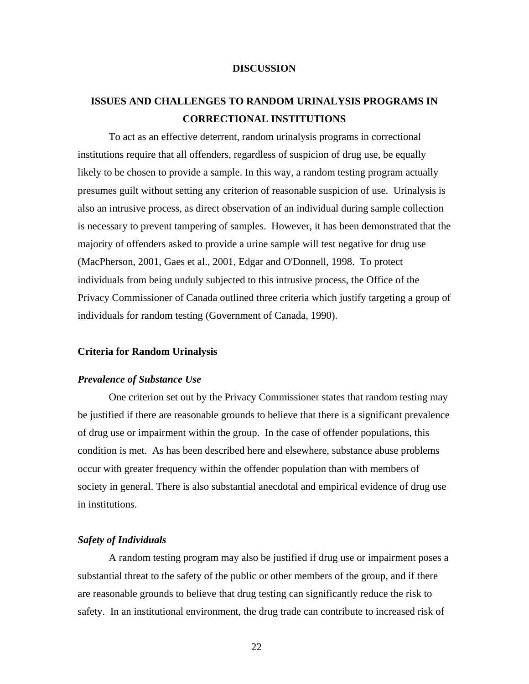# **DISCUSSION**

# **ISSUES AND CHALLENGES TO RANDOM URINALYSIS PROGRAMS IN CORRECTIONAL INSTITUTIONS**

To act as an effective deterrent, random urinalysis programs in correctional institutions require that all offenders, regardless of suspicion of drug use, be equally likely to be chosen to provide a sample. In this way, a random testing program actually presumes guilt without setting any criterion of reasonable suspicion of use. Urinalysis is also an intrusive process, as direct observation of an individual during sample collection is necessary to prevent tampering of samples. However, it has been demonstrated that the majority of offenders asked to provide a urine sample will test negative for drug use (MacPherson, 2001, Gaes et al., 2001, Edgar and O'Donnell, 1998. To protect individuals from being unduly subjected to this intrusive process, the Office of the Privacy Commissioner of Canada outlined three criteria which justify targeting a group of individuals for random testing (Government of Canada, 1990).

# **Criteria for Random Urinalysis**

# *Prevalence of Substance Use*

One criterion set out by the Privacy Commissioner states that random testing may be justified if there are reasonable grounds to believe that there is a significant prevalence of drug use or impairment within the group. In the case of offender populations, this condition is met. As has been described here and elsewhere, substance abuse problems occur with greater frequency within the offender population than with members of society in general. There is also substantial anecdotal and empirical evidence of drug use in institutions.

# *Safety of Individuals*

A random testing program may also be justified if drug use or impairment poses a substantial threat to the safety of the public or other members of the group, and if there are reasonable grounds to believe that drug testing can significantly reduce the risk to safety. In an institutional environment, the drug trade can contribute to increased risk of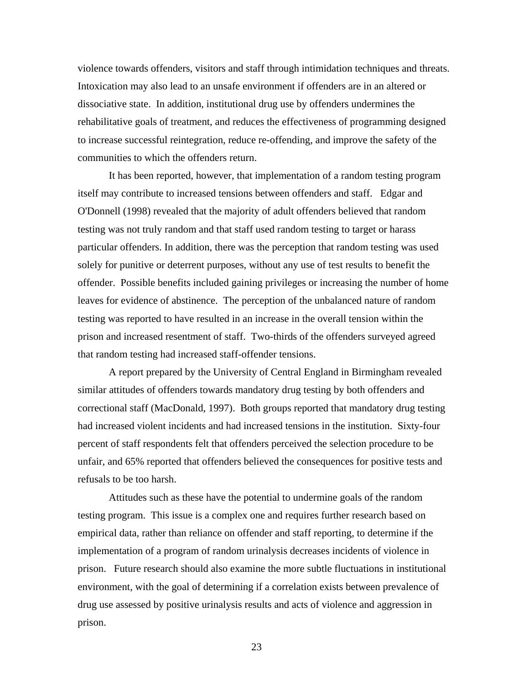violence towards offenders, visitors and staff through intimidation techniques and threats. Intoxication may also lead to an unsafe environment if offenders are in an altered or dissociative state. In addition, institutional drug use by offenders undermines the rehabilitative goals of treatment, and reduces the effectiveness of programming designed to increase successful reintegration, reduce re-offending, and improve the safety of the communities to which the offenders return.

It has been reported, however, that implementation of a random testing program itself may contribute to increased tensions between offenders and staff. Edgar and O'Donnell (1998) revealed that the majority of adult offenders believed that random testing was not truly random and that staff used random testing to target or harass particular offenders. In addition, there was the perception that random testing was used solely for punitive or deterrent purposes, without any use of test results to benefit the offender. Possible benefits included gaining privileges or increasing the number of home leaves for evidence of abstinence. The perception of the unbalanced nature of random testing was reported to have resulted in an increase in the overall tension within the prison and increased resentment of staff. Two-thirds of the offenders surveyed agreed that random testing had increased staff-offender tensions.

A report prepared by the University of Central England in Birmingham revealed similar attitudes of offenders towards mandatory drug testing by both offenders and correctional staff (MacDonald, 1997). Both groups reported that mandatory drug testing had increased violent incidents and had increased tensions in the institution. Sixty-four percent of staff respondents felt that offenders perceived the selection procedure to be unfair, and 65% reported that offenders believed the consequences for positive tests and refusals to be too harsh.

Attitudes such as these have the potential to undermine goals of the random testing program. This issue is a complex one and requires further research based on empirical data, rather than reliance on offender and staff reporting, to determine if the implementation of a program of random urinalysis decreases incidents of violence in prison. Future research should also examine the more subtle fluctuations in institutional environment, with the goal of determining if a correlation exists between prevalence of drug use assessed by positive urinalysis results and acts of violence and aggression in prison.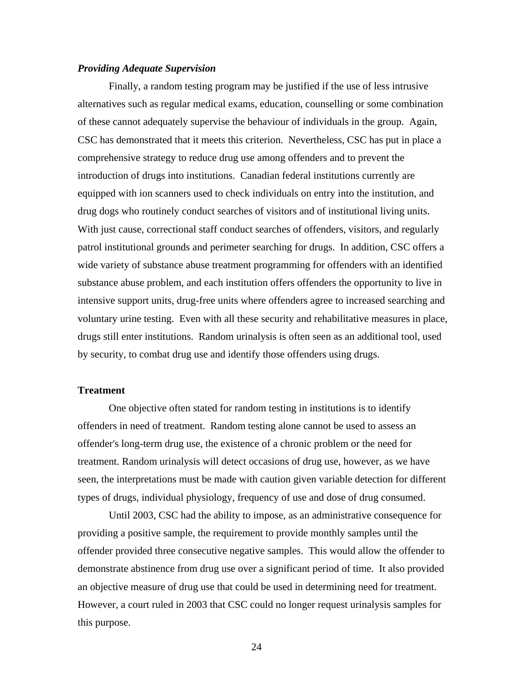# *Providing Adequate Supervision*

Finally, a random testing program may be justified if the use of less intrusive alternatives such as regular medical exams, education, counselling or some combination of these cannot adequately supervise the behaviour of individuals in the group. Again, CSC has demonstrated that it meets this criterion. Nevertheless, CSC has put in place a comprehensive strategy to reduce drug use among offenders and to prevent the introduction of drugs into institutions. Canadian federal institutions currently are equipped with ion scanners used to check individuals on entry into the institution, and drug dogs who routinely conduct searches of visitors and of institutional living units. With just cause, correctional staff conduct searches of offenders, visitors, and regularly patrol institutional grounds and perimeter searching for drugs. In addition, CSC offers a wide variety of substance abuse treatment programming for offenders with an identified substance abuse problem, and each institution offers offenders the opportunity to live in intensive support units, drug-free units where offenders agree to increased searching and voluntary urine testing. Even with all these security and rehabilitative measures in place, drugs still enter institutions. Random urinalysis is often seen as an additional tool, used by security, to combat drug use and identify those offenders using drugs.

# **Treatment**

One objective often stated for random testing in institutions is to identify offenders in need of treatment. Random testing alone cannot be used to assess an offender's long-term drug use, the existence of a chronic problem or the need for treatment. Random urinalysis will detect occasions of drug use, however, as we have seen, the interpretations must be made with caution given variable detection for different types of drugs, individual physiology, frequency of use and dose of drug consumed.

Until 2003, CSC had the ability to impose, as an administrative consequence for providing a positive sample, the requirement to provide monthly samples until the offender provided three consecutive negative samples. This would allow the offender to demonstrate abstinence from drug use over a significant period of time. It also provided an objective measure of drug use that could be used in determining need for treatment. However, a court ruled in 2003 that CSC could no longer request urinalysis samples for this purpose.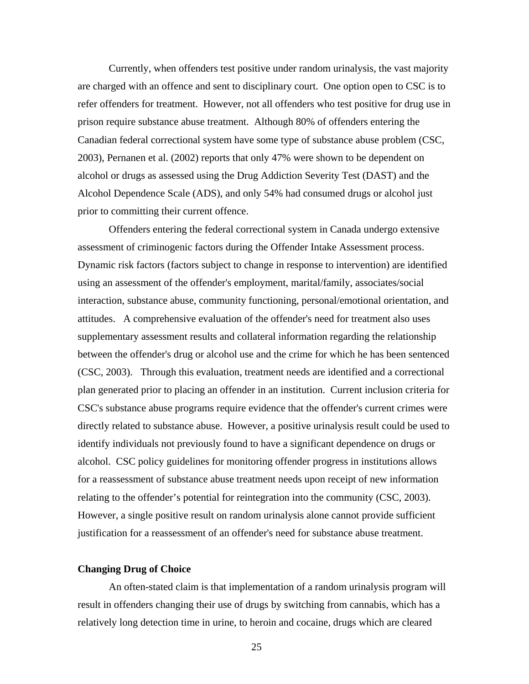Currently, when offenders test positive under random urinalysis, the vast majority are charged with an offence and sent to disciplinary court. One option open to CSC is to refer offenders for treatment. However, not all offenders who test positive for drug use in prison require substance abuse treatment. Although 80% of offenders entering the Canadian federal correctional system have some type of substance abuse problem (CSC, 2003), Pernanen et al. (2002) reports that only 47% were shown to be dependent on alcohol or drugs as assessed using the Drug Addiction Severity Test (DAST) and the Alcohol Dependence Scale (ADS), and only 54% had consumed drugs or alcohol just prior to committing their current offence.

Offenders entering the federal correctional system in Canada undergo extensive assessment of criminogenic factors during the Offender Intake Assessment process. Dynamic risk factors (factors subject to change in response to intervention) are identified using an assessment of the offender's employment, marital/family, associates/social interaction, substance abuse, community functioning, personal/emotional orientation, and attitudes. A comprehensive evaluation of the offender's need for treatment also uses supplementary assessment results and collateral information regarding the relationship between the offender's drug or alcohol use and the crime for which he has been sentenced (CSC, 2003). Through this evaluation, treatment needs are identified and a correctional plan generated prior to placing an offender in an institution. Current inclusion criteria for CSC's substance abuse programs require evidence that the offender's current crimes were directly related to substance abuse. However, a positive urinalysis result could be used to identify individuals not previously found to have a significant dependence on drugs or alcohol. CSC policy guidelines for monitoring offender progress in institutions allows for a reassessment of substance abuse treatment needs upon receipt of new information relating to the offender's potential for reintegration into the community (CSC, 2003). However, a single positive result on random urinalysis alone cannot provide sufficient justification for a reassessment of an offender's need for substance abuse treatment.

# **Changing Drug of Choice**

An often-stated claim is that implementation of a random urinalysis program will result in offenders changing their use of drugs by switching from cannabis, which has a relatively long detection time in urine, to heroin and cocaine, drugs which are cleared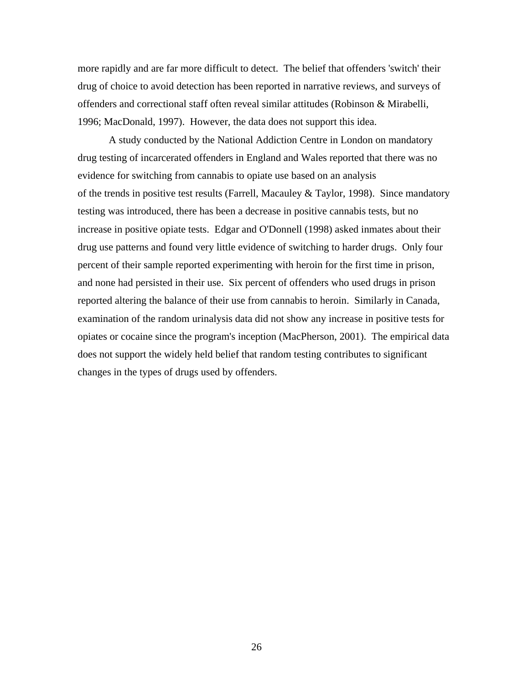more rapidly and are far more difficult to detect. The belief that offenders 'switch' their drug of choice to avoid detection has been reported in narrative reviews, and surveys of offenders and correctional staff often reveal similar attitudes (Robinson & Mirabelli, 1996; MacDonald, 1997). However, the data does not support this idea.

A study conducted by the National Addiction Centre in London on mandatory drug testing of incarcerated offenders in England and Wales reported that there was no evidence for switching from cannabis to opiate use based on an analysis of the trends in positive test results (Farrell, Macauley & Taylor, 1998). Since mandatory testing was introduced, there has been a decrease in positive cannabis tests, but no increase in positive opiate tests. Edgar and O'Donnell (1998) asked inmates about their drug use patterns and found very little evidence of switching to harder drugs. Only four percent of their sample reported experimenting with heroin for the first time in prison, and none had persisted in their use. Six percent of offenders who used drugs in prison reported altering the balance of their use from cannabis to heroin. Similarly in Canada, examination of the random urinalysis data did not show any increase in positive tests for opiates or cocaine since the program's inception (MacPherson, 2001). The empirical data does not support the widely held belief that random testing contributes to significant changes in the types of drugs used by offenders.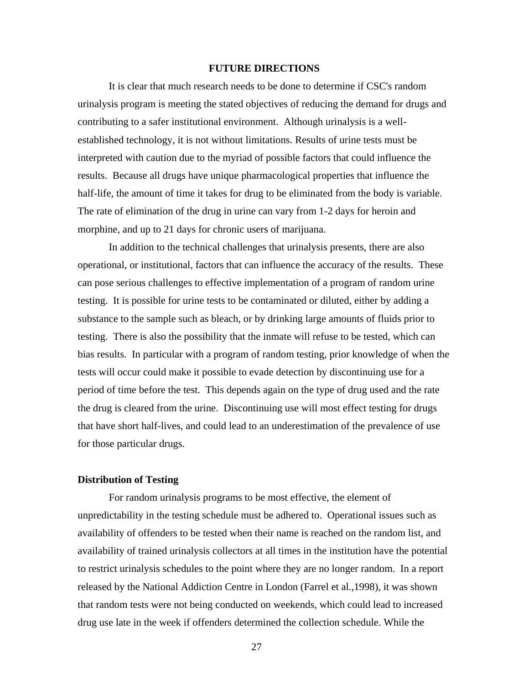# **FUTURE DIRECTIONS**

It is clear that much research needs to be done to determine if CSC's random urinalysis program is meeting the stated objectives of reducing the demand for drugs and contributing to a safer institutional environment. Although urinalysis is a wellestablished technology, it is not without limitations. Results of urine tests must be interpreted with caution due to the myriad of possible factors that could influence the results. Because all drugs have unique pharmacological properties that influence the half-life, the amount of time it takes for drug to be eliminated from the body is variable. The rate of elimination of the drug in urine can vary from 1-2 days for heroin and morphine, and up to 21 days for chronic users of marijuana.

In addition to the technical challenges that urinalysis presents, there are also operational, or institutional, factors that can influence the accuracy of the results. These can pose serious challenges to effective implementation of a program of random urine testing. It is possible for urine tests to be contaminated or diluted, either by adding a substance to the sample such as bleach, or by drinking large amounts of fluids prior to testing. There is also the possibility that the inmate will refuse to be tested, which can bias results. In particular with a program of random testing, prior knowledge of when the tests will occur could make it possible to evade detection by discontinuing use for a period of time before the test. This depends again on the type of drug used and the rate the drug is cleared from the urine. Discontinuing use will most effect testing for drugs that have short half-lives, and could lead to an underestimation of the prevalence of use for those particular drugs.

# **Distribution of Testing**

For random urinalysis programs to be most effective, the element of unpredictability in the testing schedule must be adhered to. Operational issues such as availability of offenders to be tested when their name is reached on the random list, and availability of trained urinalysis collectors at all times in the institution have the potential to restrict urinalysis schedules to the point where they are no longer random. In a report released by the National Addiction Centre in London (Farrel et al.,1998), it was shown that random tests were not being conducted on weekends, which could lead to increased drug use late in the week if offenders determined the collection schedule. While the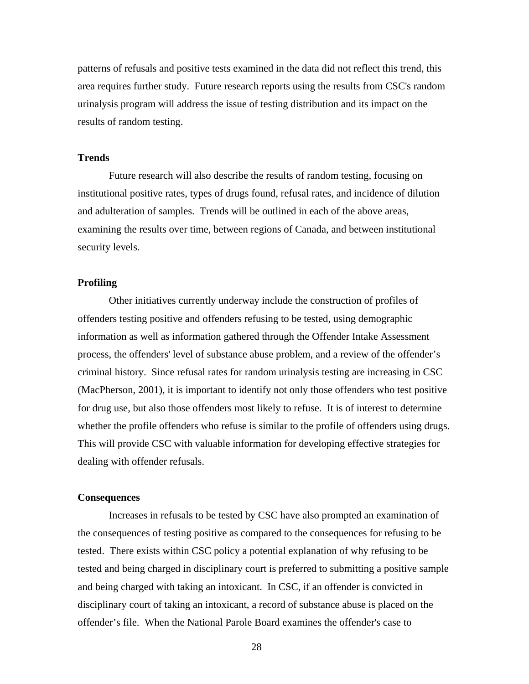patterns of refusals and positive tests examined in the data did not reflect this trend, this area requires further study. Future research reports using the results from CSC's random urinalysis program will address the issue of testing distribution and its impact on the results of random testing.

# **Trends**

Future research will also describe the results of random testing, focusing on institutional positive rates, types of drugs found, refusal rates, and incidence of dilution and adulteration of samples. Trends will be outlined in each of the above areas, examining the results over time, between regions of Canada, and between institutional security levels.

# **Profiling**

Other initiatives currently underway include the construction of profiles of offenders testing positive and offenders refusing to be tested, using demographic information as well as information gathered through the Offender Intake Assessment process, the offenders' level of substance abuse problem, and a review of the offender's criminal history. Since refusal rates for random urinalysis testing are increasing in CSC (MacPherson, 2001), it is important to identify not only those offenders who test positive for drug use, but also those offenders most likely to refuse. It is of interest to determine whether the profile offenders who refuse is similar to the profile of offenders using drugs. This will provide CSC with valuable information for developing effective strategies for dealing with offender refusals.

#### **Consequences**

Increases in refusals to be tested by CSC have also prompted an examination of the consequences of testing positive as compared to the consequences for refusing to be tested. There exists within CSC policy a potential explanation of why refusing to be tested and being charged in disciplinary court is preferred to submitting a positive sample and being charged with taking an intoxicant. In CSC, if an offender is convicted in disciplinary court of taking an intoxicant, a record of substance abuse is placed on the offender's file. When the National Parole Board examines the offender's case to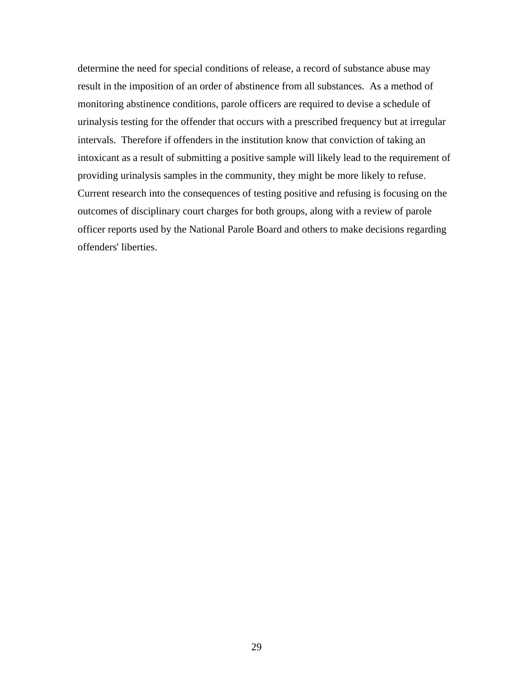determine the need for special conditions of release, a record of substance abuse may result in the imposition of an order of abstinence from all substances. As a method of monitoring abstinence conditions, parole officers are required to devise a schedule of urinalysis testing for the offender that occurs with a prescribed frequency but at irregular intervals. Therefore if offenders in the institution know that conviction of taking an intoxicant as a result of submitting a positive sample will likely lead to the requirement of providing urinalysis samples in the community, they might be more likely to refuse. Current research into the consequences of testing positive and refusing is focusing on the outcomes of disciplinary court charges for both groups, along with a review of parole officer reports used by the National Parole Board and others to make decisions regarding offenders' liberties.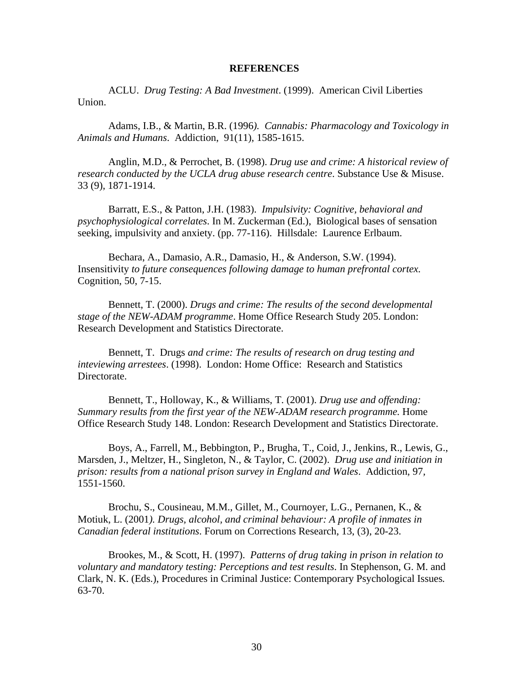#### **REFERENCES**

ACLU. *Drug Testing: A Bad Investment*. (1999). American Civil Liberties Union.

Adams, I.B., & Martin, B.R. (1996*). Cannabis: Pharmacology and Toxicology in Animals and Humans*. Addiction, 91(11), 1585-1615.

Anglin, M.D., & Perrochet, B. (1998). *Drug use and crime: A historical review of research conducted by the UCLA drug abuse research centre*. Substance Use & Misuse. 33 (9), 1871-1914.

Barratt, E.S., & Patton, J.H. (1983). *Impulsivity: Cognitive, behavioral and psychophysiological correlates*. In M. Zuckerman (Ed.), Biological bases of sensation seeking, impulsivity and anxiety. (pp. 77-116). Hillsdale: Laurence Erlbaum.

Bechara, A., Damasio, A.R., Damasio, H., & Anderson, S.W. (1994). Insensitivity *to future consequences following damage to human prefrontal cortex.* Cognition, 50, 7-15.

Bennett, T. (2000). *Drugs and crime: The results of the second developmental stage of the NEW-ADAM programme*. Home Office Research Study 205. London: Research Development and Statistics Directorate.

Bennett, T. Drugs *and crime: The results of research on drug testing and inteviewing arrestees*. (1998). London: Home Office: Research and Statistics Directorate.

Bennett, T., Holloway, K., & Williams, T. (2001). *Drug use and offending: Summary results from the first year of the NEW-ADAM research programme.* Home Office Research Study 148. London: Research Development and Statistics Directorate.

Boys, A., Farrell, M., Bebbington, P., Brugha, T., Coid, J., Jenkins, R., Lewis, G., Marsden, J., Meltzer, H., Singleton, N., & Taylor, C. (2002). *Drug use and initiation in prison: results from a national prison survey in England and Wales*. Addiction, 97*,* 1551-1560.

Brochu, S., Cousineau, M.M., Gillet, M., Cournoyer, L.G., Pernanen, K., & Motiuk, L. (2001*). Drugs, alcohol, and criminal behaviour: A profile of inmates in Canadian federal institutions*. Forum on Corrections Research, 13, (3), 20-23.

Brookes, M., & Scott, H. (1997). *Patterns of drug taking in prison in relation to voluntary and mandatory testing: Perceptions and test results*. In Stephenson, G. M. and Clark, N. K. (Eds.), Procedures in Criminal Justice: Contemporary Psychological Issues*.* 63-70.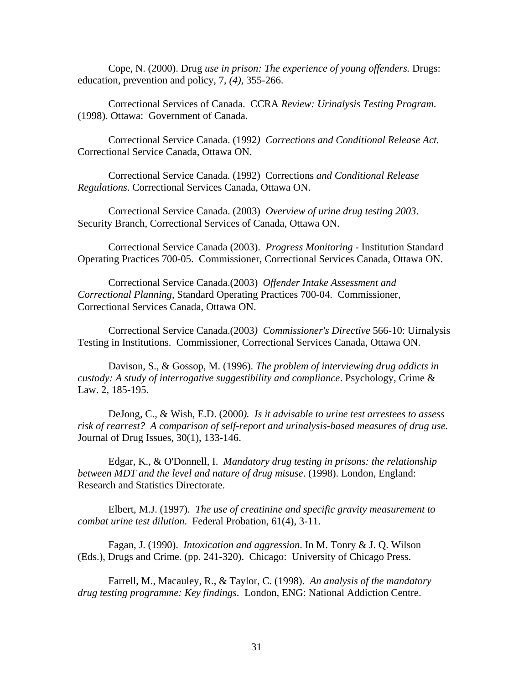Cope, N. (2000). Drug *use in prison: The experience of young offenders.* Drugs: education, prevention and policy, 7, *(4),* 355-266.

Correctional Services of Canada. CCRA *Review: Urinalysis Testing Program*. (1998). Ottawa: Government of Canada.

Correctional Service Canada. (1992*) Corrections and Conditional Release Act.* Correctional Service Canada, Ottawa ON.

Correctional Service Canada. (1992) Corrections *and Conditional Release Regulations*. Correctional Services Canada, Ottawa ON.

Correctional Service Canada. (2003) *Overview of urine drug testing 2003*. Security Branch, Correctional Services of Canada, Ottawa ON.

Correctional Service Canada (2003). *Progress Monitoring* - Institution Standard Operating Practices 700-05. Commissioner, Correctional Services Canada, Ottawa ON.

Correctional Service Canada.(2003) *Offender Intake Assessment and Correctional Planning*, Standard Operating Practices 700-04. Commissioner, Correctional Services Canada, Ottawa ON.

Correctional Service Canada.(2003*) Commissioner's Directive* 566-10: Uirnalysis Testing in Institutions. Commissioner, Correctional Services Canada, Ottawa ON.

Davison, S., & Gossop, M. (1996). *The problem of interviewing drug addicts in custody: A study of interrogative suggestibility and compliance*. Psychology, Crime & Law. 2, 185-195.

DeJong, C., & Wish, E.D. (2000*). Is it advisable to urine test arrestees to assess risk of rearrest? A comparison of self-report and urinalysis-based measures of drug use.* Journal of Drug Issues, 30(1), 133-146.

Edgar, K., & O'Donnell, I. *Mandatory drug testing in prisons: the relationship between MDT and the level and nature of drug misuse*. (1998). London, England: Research and Statistics Directorate.

Elbert, M.J. (1997). *The use of creatinine and specific gravity measurement to combat urine test dilution*. Federal Probation, 61(4), 3-11.

Fagan, J. (1990). *Intoxication and aggression*. In M. Tonry & J. Q. Wilson (Eds.), Drugs and Crime. (pp. 241-320). Chicago: University of Chicago Press.

Farrell, M., Macauley, R., & Taylor, C. (1998). *An analysis of the mandatory drug testing programme: Key findings*. London, ENG: National Addiction Centre.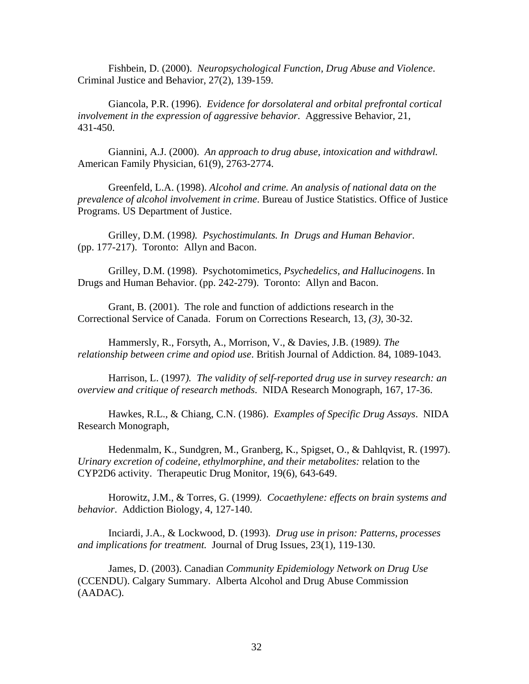Fishbein, D. (2000). *Neuropsychological Function, Drug Abuse and Violence*. Criminal Justice and Behavior, 27(2), 139-159.

Giancola, P.R. (1996). *Evidence for dorsolateral and orbital prefrontal cortical involvement in the expression of aggressive behavior*. Aggressive Behavior, 21, 431-450.

Giannini, A.J. (2000). *An approach to drug abuse, intoxication and withdrawl.* American Family Physician, 61(9), 2763-2774.

Greenfeld, L.A. (1998). *Alcohol and crime. An analysis of national data on the prevalence of alcohol involvement in crime*. Bureau of Justice Statistics. Office of Justice Programs. US Department of Justice.

Grilley, D.M. (1998*). Psychostimulants. In Drugs and Human Behavior*. (pp. 177-217). Toronto: Allyn and Bacon.

Grilley, D.M. (1998). Psychotomimetics*, Psychedelics, and Hallucinogens*. In Drugs and Human Behavior. (pp. 242-279). Toronto: Allyn and Bacon.

Grant, B. (2001). The role and function of addictions research in the Correctional Service of Canada. Forum on Corrections Research, 13, *(3),* 30-32.

Hammersly, R., Forsyth, A., Morrison, V., & Davies, J.B. (1989*). The relationship between crime and opiod use*. British Journal of Addiction. 84, 1089-1043.

Harrison, L. (1997*). The validity of self-reported drug use in survey research: an overview and critique of research methods*. NIDA Research Monograph, 167, 17-36.

Hawkes, R.L., & Chiang, C.N. (1986). *Examples of Specific Drug Assays*. NIDA Research Monograph,

Hedenmalm, K., Sundgren, M., Granberg, K., Spigset, O., & Dahlqvist, R. (1997). *Urinary excretion of codeine, ethylmorphine, and their metabolites:* relation to the CYP2D6 activity. Therapeutic Drug Monitor, 19(6), 643-649.

Horowitz, J.M., & Torres, G. (1999*). Cocaethylene: effects on brain systems and behavior*. Addiction Biology, 4, 127-140.

Inciardi, J.A., & Lockwood, D. (1993). *Drug use in prison: Patterns, processes and implications for treatment.* Journal of Drug Issues, 23(1), 119-130.

James, D. (2003). Canadian *Community Epidemiology Network on Drug Use* (CCENDU). Calgary Summary. Alberta Alcohol and Drug Abuse Commission (AADAC).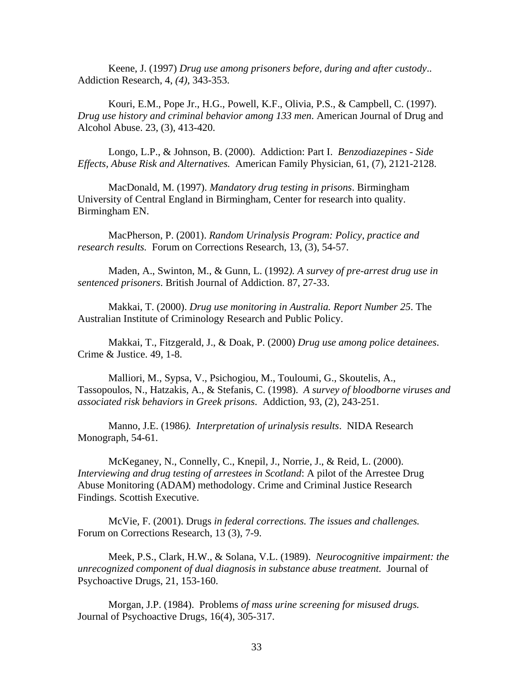Keene, J. (1997) *Drug use among prisoners before, during and after custody*.. Addiction Research, 4, *(4)*, 343-353.

Kouri, E.M., Pope Jr., H.G., Powell, K.F., Olivia, P.S., & Campbell, C. (1997). *Drug use history and criminal behavior among 133 men*. American Journal of Drug and Alcohol Abuse. 23, (3), 413-420.

Longo, L.P., & Johnson, B. (2000). Addiction: Part I. *Benzodiazepines - Side Effects, Abuse Risk and Alternatives.* American Family Physician, 61, (7), 2121-2128.

MacDonald, M. (1997). *Mandatory drug testing in prisons*. Birmingham University of Central England in Birmingham, Center for research into quality. Birmingham EN.

MacPherson, P. (2001). *Random Urinalysis Program: Policy, practice and research results.* Forum on Corrections Research, 13, (3), 54-57.

Maden, A., Swinton, M., & Gunn, L. (1992*). A survey of pre-arrest drug use in sentenced prisoners*. British Journal of Addiction. 87, 27-33.

Makkai, T. (2000). *Drug use monitoring in Australia. Report Number 25*. The Australian Institute of Criminology Research and Public Policy.

Makkai, T., Fitzgerald, J., & Doak, P. (2000) *Drug use among police detainees*. Crime & Justice. 49, 1-8.

Malliori, M., Sypsa, V., Psichogiou, M., Touloumi, G., Skoutelis, A., Tassopoulos, N., Hatzakis, A., & Stefanis, C. (1998). *A survey of bloodborne viruses and associated risk behaviors in Greek prisons*. Addiction, 93, (2), 243-251.

Manno, J.E. (1986*). Interpretation of urinalysis results*. NIDA Research Monograph, 54-61.

McKeganey, N., Connelly, C., Knepil, J., Norrie, J., & Reid, L. (2000). *Interviewing and drug testing of arrestees in Scotland*: A pilot of the Arrestee Drug Abuse Monitoring (ADAM) methodology. Crime and Criminal Justice Research Findings. Scottish Executive.

McVie, F. (2001). Drugs *in federal corrections. The issues and challenges.* Forum on Corrections Research, 13 (3), 7-9.

Meek, P.S., Clark, H.W., & Solana, V.L. (1989). *Neurocognitive impairment: the unrecognized component of dual diagnosis in substance abuse treatment.* Journal of Psychoactive Drugs, 21, 153-160.

Morgan, J.P. (1984). Problems *of mass urine screening for misused drugs.* Journal of Psychoactive Drugs, 16(4), 305-317.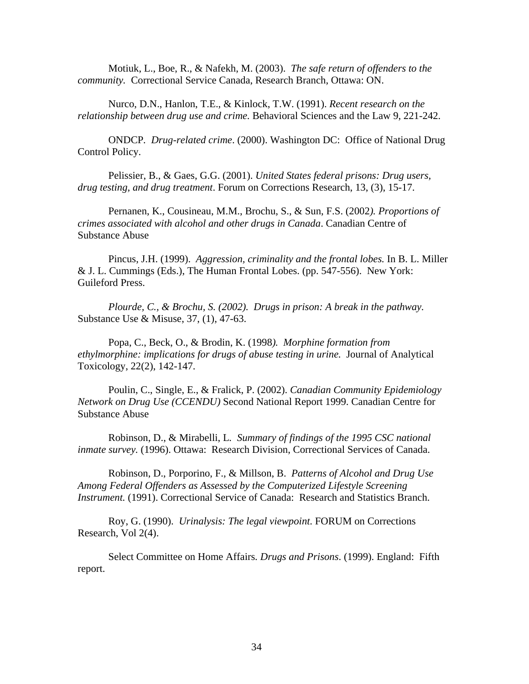Motiuk, L., Boe, R., & Nafekh, M. (2003). *The safe return of offenders to the community.* Correctional Service Canada, Research Branch, Ottawa: ON.

Nurco, D.N., Hanlon, T.E., & Kinlock, T.W. (1991). *Recent research on the relationship between drug use and crime.* Behavioral Sciences and the Law 9, 221-242.

ONDCP*. Drug-related crime*. (2000). Washington DC: Office of National Drug Control Policy.

Pelissier, B., & Gaes, G.G. (2001). *United States federal prisons: Drug users, drug testing, and drug treatment*. Forum on Corrections Research, 13, (3), 15-17.

Pernanen, K., Cousineau, M.M., Brochu, S., & Sun, F.S. (2002*). Proportions of crimes associated with alcohol and other drugs in Canada*. Canadian Centre of Substance Abuse

Pincus, J.H. (1999). *Aggression, criminality and the frontal lobes.* In B. L. Miller & J. L. Cummings (Eds.), The Human Frontal Lobes. (pp. 547-556). New York: Guileford Press.

*Plourde, C., & Brochu, S. (2002). Drugs in prison: A break in the pathway.*  Substance Use & Misuse, 37, (1), 47-63.

Popa, C., Beck, O., & Brodin, K. (1998*). Morphine formation from ethylmorphine: implications for drugs of abuse testing in urine.* Journal of Analytical Toxicology, 22(2), 142-147.

Poulin, C., Single, E., & Fralick, P. (2002). *Canadian Community Epidemiology Network on Drug Use (CCENDU)* Second National Report 1999. Canadian Centre for Substance Abuse

Robinson, D., & Mirabelli, L*. Summary of findings of the 1995 CSC national inmate survey.* (1996). Ottawa: Research Division, Correctional Services of Canada.

Robinson, D., Porporino, F., & Millson, B. *Patterns of Alcohol and Drug Use Among Federal Offenders as Assessed by the Computerized Lifestyle Screening Instrument.* (1991). Correctional Service of Canada: Research and Statistics Branch.

Roy, G. (1990). *Urinalysis: The legal viewpoint*. FORUM on Corrections Research, Vol 2(4).

Select Committee on Home Affairs*. Drugs and Prisons*. (1999). England: Fifth report.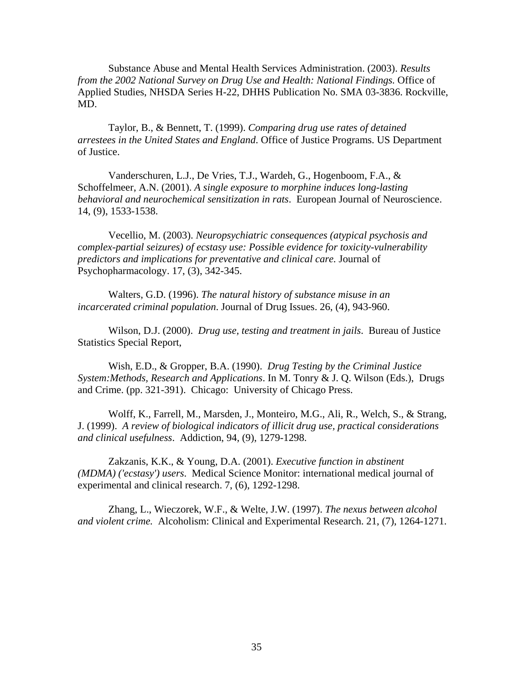Substance Abuse and Mental Health Services Administration. (2003). *Results from the 2002 National Survey on Drug Use and Health: National Findings.* Office of Applied Studies, NHSDA Series H-22, DHHS Publication No. SMA 03-3836. Rockville, MD.

Taylor, B., & Bennett, T. (1999). *Comparing drug use rates of detained arrestees in the United States and England*. Office of Justice Programs. US Department of Justice.

Vanderschuren, L.J., De Vries, T.J., Wardeh, G., Hogenboom, F.A., & Schoffelmeer, A.N. (2001). *A single exposure to morphine induces long-lasting behavioral and neurochemical sensitization in rats*. European Journal of Neuroscience. 14, (9), 1533-1538.

Vecellio, M. (2003). *Neuropsychiatric consequences (atypical psychosis and complex-partial seizures) of ecstasy use: Possible evidence for toxicity-vulnerability predictors and implications for preventative and clinical care.* Journal of Psychopharmacology. 17, (3), 342-345.

Walters, G.D. (1996). *The natural history of substance misuse in an incarcerated criminal population*. Journal of Drug Issues. 26, (4), 943-960.

Wilson, D.J. (2000). *Drug use, testing and treatment in jails*. Bureau of Justice Statistics Special Report,

Wish, E.D., & Gropper, B.A. (1990). *Drug Testing by the Criminal Justice System:Methods, Research and Applications*. In M. Tonry & J. Q. Wilson (Eds.), Drugs and Crime. (pp. 321-391). Chicago: University of Chicago Press.

Wolff, K., Farrell, M., Marsden, J., Monteiro, M.G., Ali, R., Welch, S., & Strang, J. (1999). *A review of biological indicators of illicit drug use, practical considerations and clinical usefulness*. Addiction, 94, (9), 1279-1298.

Zakzanis, K.K., & Young, D.A. (2001). *Executive function in abstinent (MDMA) ('ecstasy') users*. Medical Science Monitor: international medical journal of experimental and clinical research. 7, (6), 1292-1298.

Zhang, L., Wieczorek, W.F., & Welte, J.W. (1997). *The nexus between alcohol and violent crime.* Alcoholism: Clinical and Experimental Research. 21, (7), 1264-1271.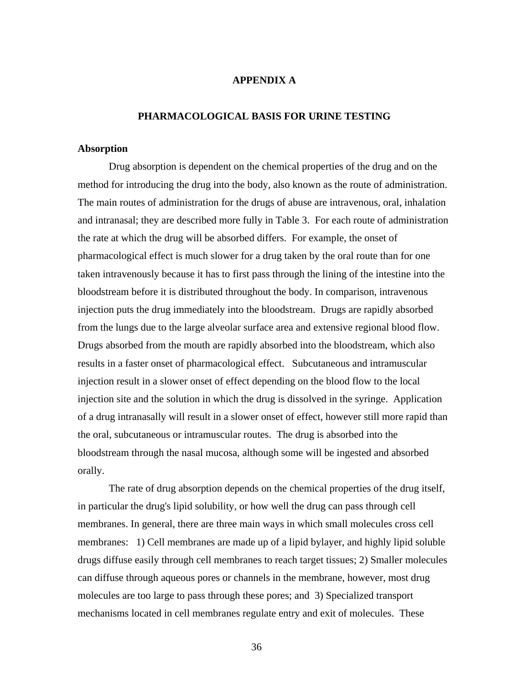# **APPENDIX A**

# **PHARMACOLOGICAL BASIS FOR URINE TESTING**

## **Absorption**

Drug absorption is dependent on the chemical properties of the drug and on the method for introducing the drug into the body, also known as the route of administration. The main routes of administration for the drugs of abuse are intravenous, oral, inhalation and intranasal; they are described more fully in Table 3. For each route of administration the rate at which the drug will be absorbed differs. For example, the onset of pharmacological effect is much slower for a drug taken by the oral route than for one taken intravenously because it has to first pass through the lining of the intestine into the bloodstream before it is distributed throughout the body. In comparison, intravenous injection puts the drug immediately into the bloodstream. Drugs are rapidly absorbed from the lungs due to the large alveolar surface area and extensive regional blood flow. Drugs absorbed from the mouth are rapidly absorbed into the bloodstream, which also results in a faster onset of pharmacological effect. Subcutaneous and intramuscular injection result in a slower onset of effect depending on the blood flow to the local injection site and the solution in which the drug is dissolved in the syringe. Application of a drug intranasally will result in a slower onset of effect, however still more rapid than the oral, subcutaneous or intramuscular routes. The drug is absorbed into the bloodstream through the nasal mucosa, although some will be ingested and absorbed orally.

The rate of drug absorption depends on the chemical properties of the drug itself, in particular the drug's lipid solubility, or how well the drug can pass through cell membranes. In general, there are three main ways in which small molecules cross cell membranes: 1) Cell membranes are made up of a lipid bylayer, and highly lipid soluble drugs diffuse easily through cell membranes to reach target tissues; 2) Smaller molecules can diffuse through aqueous pores or channels in the membrane, however, most drug molecules are too large to pass through these pores; and 3) Specialized transport mechanisms located in cell membranes regulate entry and exit of molecules. These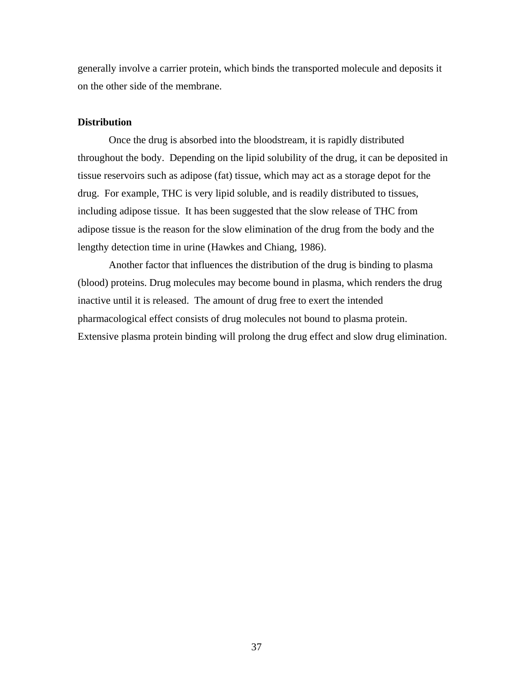generally involve a carrier protein, which binds the transported molecule and deposits it on the other side of the membrane.

## **Distribution**

Once the drug is absorbed into the bloodstream, it is rapidly distributed throughout the body. Depending on the lipid solubility of the drug, it can be deposited in tissue reservoirs such as adipose (fat) tissue, which may act as a storage depot for the drug. For example, THC is very lipid soluble, and is readily distributed to tissues, including adipose tissue. It has been suggested that the slow release of THC from adipose tissue is the reason for the slow elimination of the drug from the body and the lengthy detection time in urine (Hawkes and Chiang, 1986).

Another factor that influences the distribution of the drug is binding to plasma (blood) proteins. Drug molecules may become bound in plasma, which renders the drug inactive until it is released. The amount of drug free to exert the intended pharmacological effect consists of drug molecules not bound to plasma protein. Extensive plasma protein binding will prolong the drug effect and slow drug elimination.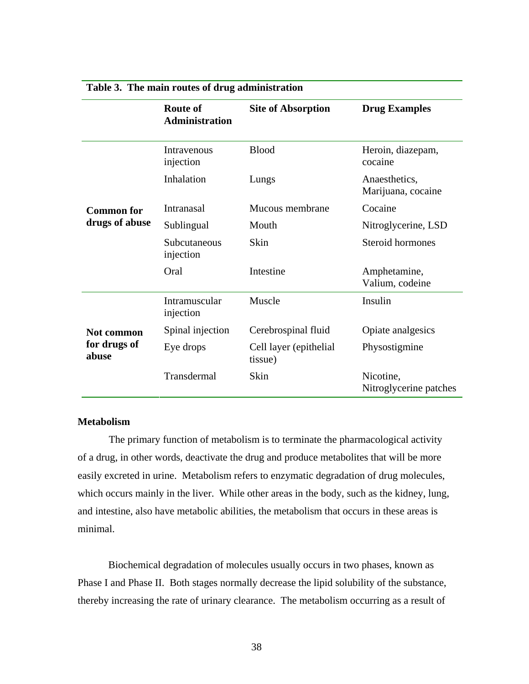|                                     | <b>Route of</b><br><b>Administration</b> | <b>Site of Absorption</b>         | <b>Drug Examples</b>                |
|-------------------------------------|------------------------------------------|-----------------------------------|-------------------------------------|
|                                     | Intravenous<br>injection                 | <b>Blood</b>                      | Heroin, diazepam,<br>cocaine        |
|                                     | Inhalation                               | Lungs                             | Anaesthetics,<br>Marijuana, cocaine |
| <b>Common for</b>                   | Intranasal                               | Mucous membrane                   | Cocaine                             |
| drugs of abuse                      | Sublingual                               | Mouth                             | Nitroglycerine, LSD                 |
|                                     | Subcutaneous<br>injection                | Skin                              | Steroid hormones                    |
|                                     | Oral                                     | Intestine                         | Amphetamine,<br>Valium, codeine     |
|                                     | Intramuscular<br>injection               | Muscle                            | Insulin                             |
| Not common<br>for drugs of<br>abuse | Spinal injection                         | Cerebrospinal fluid               | Opiate analgesics                   |
|                                     | Eye drops                                | Cell layer (epithelial<br>tissue) | Physostigmine                       |
|                                     | Transdermal                              | Skin                              | Nicotine,<br>Nitroglycerine patches |

# **Table 3. The main routes of drug administration**

# **Metabolism**

The primary function of metabolism is to terminate the pharmacological activity of a drug, in other words, deactivate the drug and produce metabolites that will be more easily excreted in urine. Metabolism refers to enzymatic degradation of drug molecules, which occurs mainly in the liver. While other areas in the body, such as the kidney, lung, and intestine, also have metabolic abilities, the metabolism that occurs in these areas is minimal.

Biochemical degradation of molecules usually occurs in two phases, known as Phase I and Phase II. Both stages normally decrease the lipid solubility of the substance, thereby increasing the rate of urinary clearance. The metabolism occurring as a result of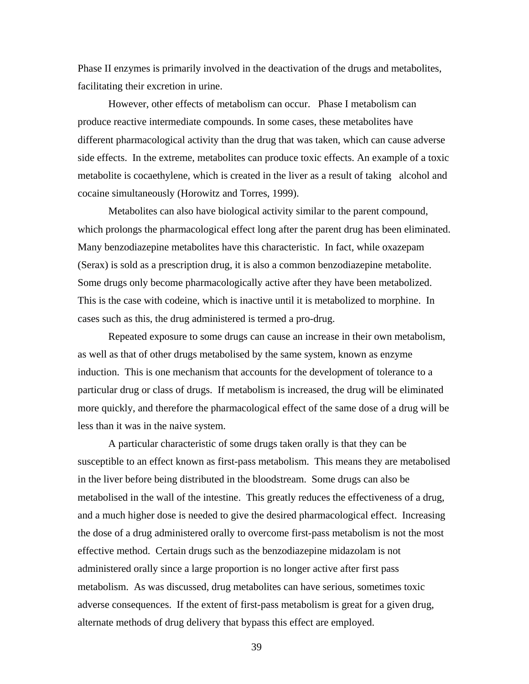Phase II enzymes is primarily involved in the deactivation of the drugs and metabolites, facilitating their excretion in urine.

However, other effects of metabolism can occur. Phase I metabolism can produce reactive intermediate compounds. In some cases, these metabolites have different pharmacological activity than the drug that was taken, which can cause adverse side effects. In the extreme, metabolites can produce toxic effects. An example of a toxic metabolite is cocaethylene, which is created in the liver as a result of taking alcohol and cocaine simultaneously (Horowitz and Torres, 1999).

Metabolites can also have biological activity similar to the parent compound, which prolongs the pharmacological effect long after the parent drug has been eliminated. Many benzodiazepine metabolites have this characteristic. In fact, while oxazepam (Serax) is sold as a prescription drug, it is also a common benzodiazepine metabolite. Some drugs only become pharmacologically active after they have been metabolized. This is the case with codeine, which is inactive until it is metabolized to morphine. In cases such as this, the drug administered is termed a pro-drug.

Repeated exposure to some drugs can cause an increase in their own metabolism, as well as that of other drugs metabolised by the same system, known as enzyme induction. This is one mechanism that accounts for the development of tolerance to a particular drug or class of drugs. If metabolism is increased, the drug will be eliminated more quickly, and therefore the pharmacological effect of the same dose of a drug will be less than it was in the naive system.

A particular characteristic of some drugs taken orally is that they can be susceptible to an effect known as first-pass metabolism. This means they are metabolised in the liver before being distributed in the bloodstream. Some drugs can also be metabolised in the wall of the intestine. This greatly reduces the effectiveness of a drug, and a much higher dose is needed to give the desired pharmacological effect. Increasing the dose of a drug administered orally to overcome first-pass metabolism is not the most effective method. Certain drugs such as the benzodiazepine midazolam is not administered orally since a large proportion is no longer active after first pass metabolism. As was discussed, drug metabolites can have serious, sometimes toxic adverse consequences. If the extent of first-pass metabolism is great for a given drug, alternate methods of drug delivery that bypass this effect are employed.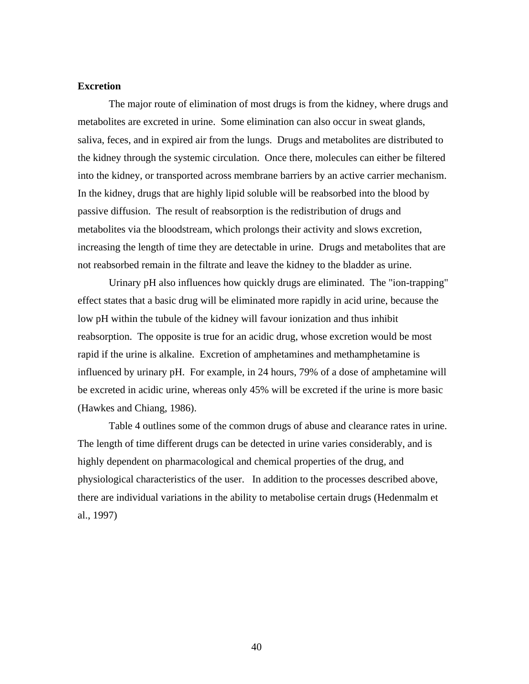# **Excretion**

The major route of elimination of most drugs is from the kidney, where drugs and metabolites are excreted in urine. Some elimination can also occur in sweat glands, saliva, feces, and in expired air from the lungs. Drugs and metabolites are distributed to the kidney through the systemic circulation. Once there, molecules can either be filtered into the kidney, or transported across membrane barriers by an active carrier mechanism. In the kidney, drugs that are highly lipid soluble will be reabsorbed into the blood by passive diffusion. The result of reabsorption is the redistribution of drugs and metabolites via the bloodstream, which prolongs their activity and slows excretion, increasing the length of time they are detectable in urine. Drugs and metabolites that are not reabsorbed remain in the filtrate and leave the kidney to the bladder as urine.

Urinary pH also influences how quickly drugs are eliminated. The "ion-trapping" effect states that a basic drug will be eliminated more rapidly in acid urine, because the low pH within the tubule of the kidney will favour ionization and thus inhibit reabsorption. The opposite is true for an acidic drug, whose excretion would be most rapid if the urine is alkaline. Excretion of amphetamines and methamphetamine is influenced by urinary pH. For example, in 24 hours, 79% of a dose of amphetamine will be excreted in acidic urine, whereas only 45% will be excreted if the urine is more basic (Hawkes and Chiang, 1986).

Table 4 outlines some of the common drugs of abuse and clearance rates in urine. The length of time different drugs can be detected in urine varies considerably, and is highly dependent on pharmacological and chemical properties of the drug, and physiological characteristics of the user. In addition to the processes described above, there are individual variations in the ability to metabolise certain drugs (Hedenmalm et al., 1997)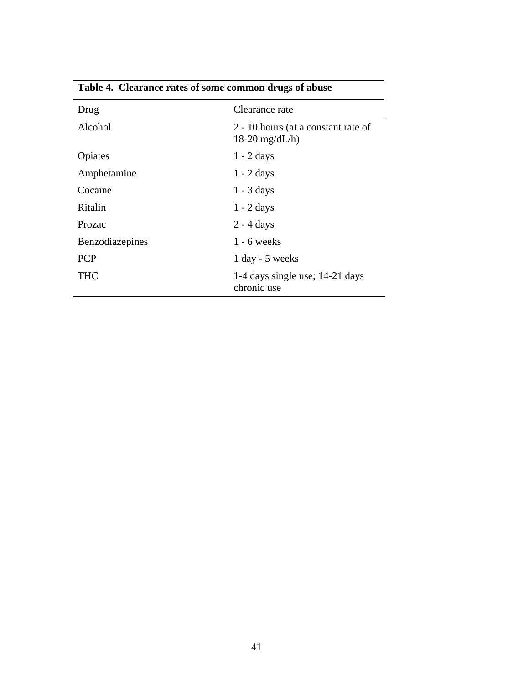| Drug            | Clearance rate                                          |
|-----------------|---------------------------------------------------------|
| Alcohol         | 2 - 10 hours (at a constant rate of<br>$18-20$ mg/dL/h) |
| Opiates         | $1 - 2$ days                                            |
| Amphetamine     | $1 - 2$ days                                            |
| Cocaine         | $1 - 3$ days                                            |
| Ritalin         | $1 - 2$ days                                            |
| Prozac          | $2 - 4$ days                                            |
| Benzodiazepines | $1 - 6$ weeks                                           |
| <b>PCP</b>      | $1$ day - 5 weeks                                       |
| THC             | 1-4 days single use; 14-21 days<br>chronic use          |

**Table 4. Clearance rates of some common drugs of abuse**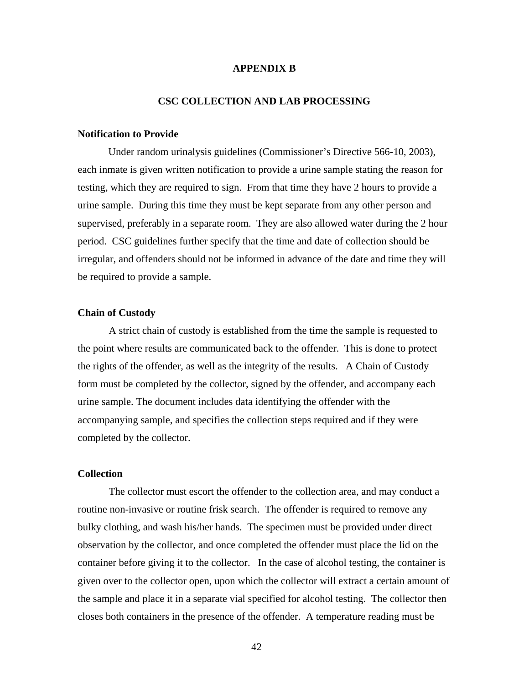# **APPENDIX B**

# **CSC COLLECTION AND LAB PROCESSING**

# **Notification to Provide**

Under random urinalysis guidelines (Commissioner's Directive 566-10, 2003), each inmate is given written notification to provide a urine sample stating the reason for testing, which they are required to sign. From that time they have 2 hours to provide a urine sample. During this time they must be kept separate from any other person and supervised, preferably in a separate room. They are also allowed water during the 2 hour period. CSC guidelines further specify that the time and date of collection should be irregular, and offenders should not be informed in advance of the date and time they will be required to provide a sample.

# **Chain of Custody**

A strict chain of custody is established from the time the sample is requested to the point where results are communicated back to the offender. This is done to protect the rights of the offender, as well as the integrity of the results. A Chain of Custody form must be completed by the collector, signed by the offender, and accompany each urine sample. The document includes data identifying the offender with the accompanying sample, and specifies the collection steps required and if they were completed by the collector.

# **Collection**

The collector must escort the offender to the collection area, and may conduct a routine non-invasive or routine frisk search. The offender is required to remove any bulky clothing, and wash his/her hands. The specimen must be provided under direct observation by the collector, and once completed the offender must place the lid on the container before giving it to the collector. In the case of alcohol testing, the container is given over to the collector open, upon which the collector will extract a certain amount of the sample and place it in a separate vial specified for alcohol testing. The collector then closes both containers in the presence of the offender. A temperature reading must be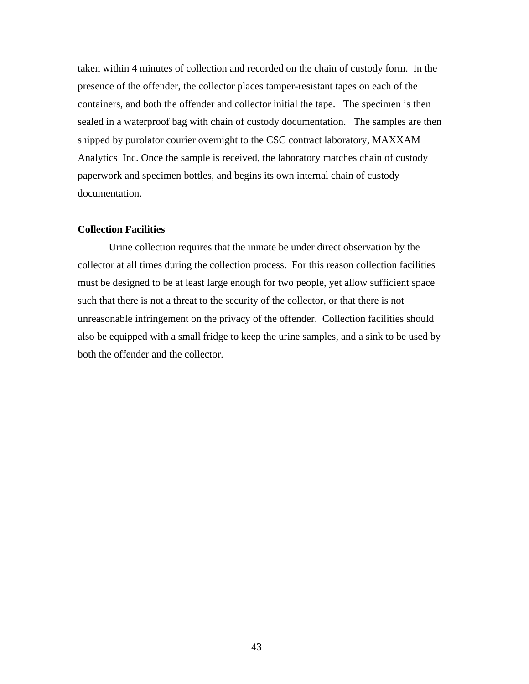taken within 4 minutes of collection and recorded on the chain of custody form. In the presence of the offender, the collector places tamper-resistant tapes on each of the containers, and both the offender and collector initial the tape. The specimen is then sealed in a waterproof bag with chain of custody documentation. The samples are then shipped by purolator courier overnight to the CSC contract laboratory, MAXXAM Analytics Inc. Once the sample is received, the laboratory matches chain of custody paperwork and specimen bottles, and begins its own internal chain of custody documentation.

### **Collection Facilities**

Urine collection requires that the inmate be under direct observation by the collector at all times during the collection process. For this reason collection facilities must be designed to be at least large enough for two people, yet allow sufficient space such that there is not a threat to the security of the collector, or that there is not unreasonable infringement on the privacy of the offender. Collection facilities should also be equipped with a small fridge to keep the urine samples, and a sink to be used by both the offender and the collector.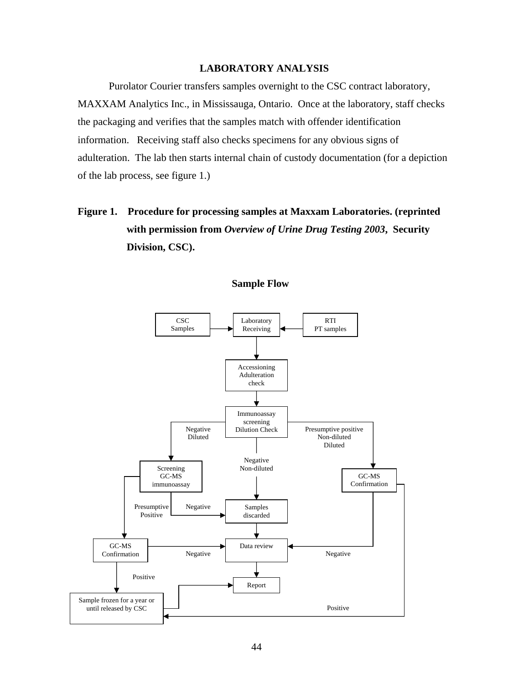# **LABORATORY ANALYSIS**

Purolator Courier transfers samples overnight to the CSC contract laboratory, MAXXAM Analytics Inc., in Mississauga, Ontario. Once at the laboratory, staff checks the packaging and verifies that the samples match with offender identification information. Receiving staff also checks specimens for any obvious signs of adulteration. The lab then starts internal chain of custody documentation (for a depiction of the lab process, see figure 1.)

# **Figure 1. Procedure for processing samples at Maxxam Laboratories. (reprinted with permission from** *Overview of Urine Drug Testing 2003***, Security Division, CSC).**



**Sample Flow**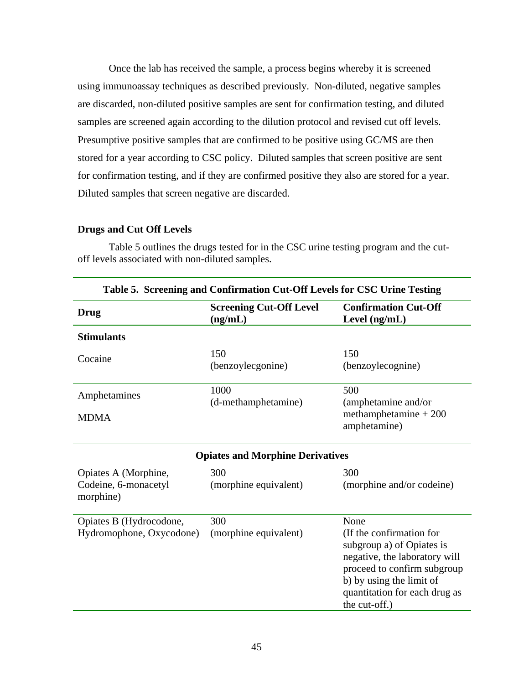Once the lab has received the sample, a process begins whereby it is screened using immunoassay techniques as described previously. Non-diluted, negative samples are discarded, non-diluted positive samples are sent for confirmation testing, and diluted samples are screened again according to the dilution protocol and revised cut off levels. Presumptive positive samples that are confirmed to be positive using GC/MS are then stored for a year according to CSC policy. Diluted samples that screen positive are sent for confirmation testing, and if they are confirmed positive they also are stored for a year. Diluted samples that screen negative are discarded.

# **Drugs and Cut Off Levels**

**Table 5. Screening and Confirmation Cut-Off Levels for CSC Urine Testing Drug Screening Cut-Off Level (ng/mL) Confirmation Cut-Off Level (ng/mL) Stimulants**  Cocaine 150 (benzoylecgonine) 150 (benzoylecognine) Amphetamines MDMA 1000 (d-methamphetamine) 500 (amphetamine and/or methamphetamine + 200 amphetamine) **Opiates and Morphine Derivatives**  Opiates A (Morphine, Codeine, 6-monacetyl morphine) 300 (morphine equivalent) 300 (morphine and/or codeine)

Table 5 outlines the drugs tested for in the CSC urine testing program and the cutoff levels associated with non-diluted samples.

| Opiates B (Hydrocodone,  | 300                   | None                          |
|--------------------------|-----------------------|-------------------------------|
| Hydromophone, Oxycodone) | (morphine equivalent) | (If the confirmation for      |
|                          |                       | subgroup a) of Opiates is     |
|                          |                       | negative, the laboratory will |
|                          |                       | proceed to confirm subgroup   |
|                          |                       | b) by using the limit of      |
|                          |                       | quantitation for each drug as |
|                          |                       | the cut-off.)                 |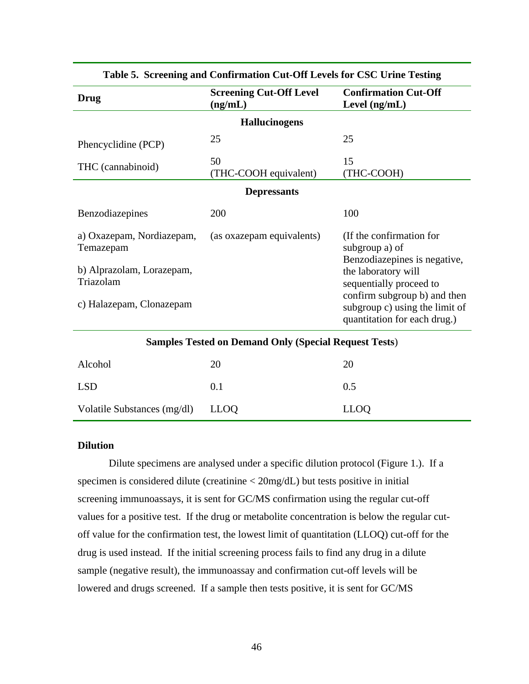| <b>Drug</b>                                                                                                  | <b>Screening Cut-Off Level</b><br>(ng/mL) | <b>Confirmation Cut-Off</b><br>Level (ng/mL)                                                                                                                                                                                   |  |  |
|--------------------------------------------------------------------------------------------------------------|-------------------------------------------|--------------------------------------------------------------------------------------------------------------------------------------------------------------------------------------------------------------------------------|--|--|
|                                                                                                              | <b>Hallucinogens</b>                      |                                                                                                                                                                                                                                |  |  |
| Phencyclidine (PCP)                                                                                          | 25                                        | 25                                                                                                                                                                                                                             |  |  |
| THC (cannabinoid)                                                                                            | 50<br>(THC-COOH equivalent)               | 15<br>(THC-COOH)                                                                                                                                                                                                               |  |  |
|                                                                                                              | <b>Depressants</b>                        |                                                                                                                                                                                                                                |  |  |
| Benzodiazepines                                                                                              | 200                                       | 100                                                                                                                                                                                                                            |  |  |
| a) Oxazepam, Nordiazepam,<br>Temazepam<br>b) Alprazolam, Lorazepam,<br>Triazolam<br>c) Halazepam, Clonazepam | (as oxazepam equivalents)                 | (If the confirmation for<br>subgroup a) of<br>Benzodiazepines is negative,<br>the laboratory will<br>sequentially proceed to<br>confirm subgroup b) and then<br>subgroup c) using the limit of<br>quantitation for each drug.) |  |  |
| <b>Samples Tested on Demand Only (Special Request Tests)</b>                                                 |                                           |                                                                                                                                                                                                                                |  |  |
| Alcohol                                                                                                      | 20                                        | 20                                                                                                                                                                                                                             |  |  |
| <b>LSD</b>                                                                                                   | 0.1                                       | 0.5                                                                                                                                                                                                                            |  |  |
| Volatile Substances (mg/dl)                                                                                  | <b>LLOQ</b>                               | <b>LLOQ</b>                                                                                                                                                                                                                    |  |  |

# **Table 5. Screening and Confirmation Cut-Off Levels for CSC Urine Testing**

# **Dilution**

Dilute specimens are analysed under a specific dilution protocol (Figure 1.). If a specimen is considered dilute (creatinine < 20mg/dL) but tests positive in initial screening immunoassays, it is sent for GC/MS confirmation using the regular cut-off values for a positive test. If the drug or metabolite concentration is below the regular cutoff value for the confirmation test, the lowest limit of quantitation (LLOQ) cut-off for the drug is used instead. If the initial screening process fails to find any drug in a dilute sample (negative result), the immunoassay and confirmation cut-off levels will be lowered and drugs screened. If a sample then tests positive, it is sent for GC/MS